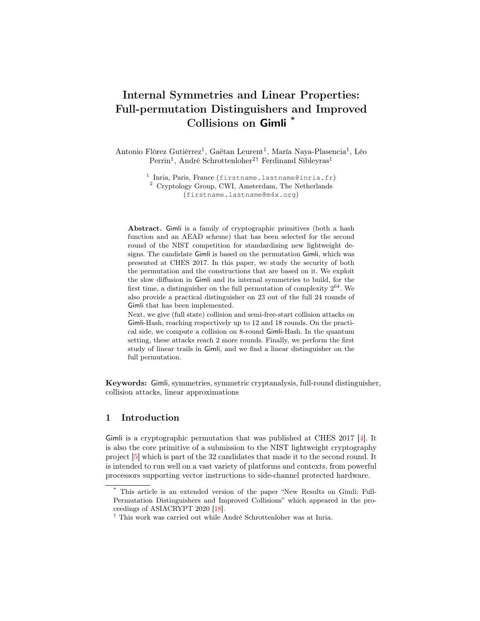# Internal Symmetries and Linear Properties: Full-permutation Distinguishers and Improved Collisions on Gimli \*

Antonio Flórez Gutiérrez<sup>1</sup>, Gaëtan Leurent<sup>1</sup>, María Naya-Plasencia<sup>1</sup>, Léo Perrin<sup>1</sup>, André Schrottenloher<sup>2†</sup> Ferdinand Sibleyras<sup>1</sup>

> <sup>1</sup> Inria, Paris, France (firstname.lastname@inria.fr) <sup>2</sup> Cryptology Group, CWI, Amsterdam, The Netherlands (firstname.lastname@m4x.org)

Abstract. Gimli is a family of cryptographic primitives (both a hash function and an AEAD scheme) that has been selected for the second round of the NIST competition for standardizing new lightweight designs. The candidate Gimli is based on the permutation Gimli, which was presented at CHES 2017. In this paper, we study the security of both the permutation and the constructions that are based on it. We exploit the slow diffusion in Gimli and its internal symmetries to build, for the first time, a distinguisher on the full permutation of complexity  $2^{64}$ . We also provide a practical distinguisher on 23 out of the full 24 rounds of Gimli that has been implemented.

Next, we give (full state) collision and semi-free-start collision attacks on Gimli-Hash, reaching respectively up to 12 and 18 rounds. On the practical side, we compute a collision on 8-round Gimli-Hash. In the quantum setting, these attacks reach 2 more rounds. Finally, we perform the first study of linear trails in Gimli, and we find a linear distinguisher on the full permutation.

Keywords: Gimli, symmetries, symmetric cryptanalysis, full-round distinguisher, collision attacks, linear approximations

## <span id="page-0-0"></span>1 Introduction

Gimli is a cryptographic permutation that was published at CHES 2017 [\[4\]](#page-33-0). It is also the core primitive of a submission to the NIST lightweight cryptography project [\[5\]](#page-33-1) which is part of the 32 candidates that made it to the second round. It is intended to run well on a vast variety of platforms and contexts, from powerful processors supporting vector instructions to side-channel protected hardware.

This article is an extended version of the paper "New Results on Gimli: Full-Permutation Distinguishers and Improved Collisions" which appeared in the proceedings of ASIACRYPT 2020 [\[18\]](#page-34-0).

<sup>†</sup> This work was carried out while André Schrottenloher was at Inria.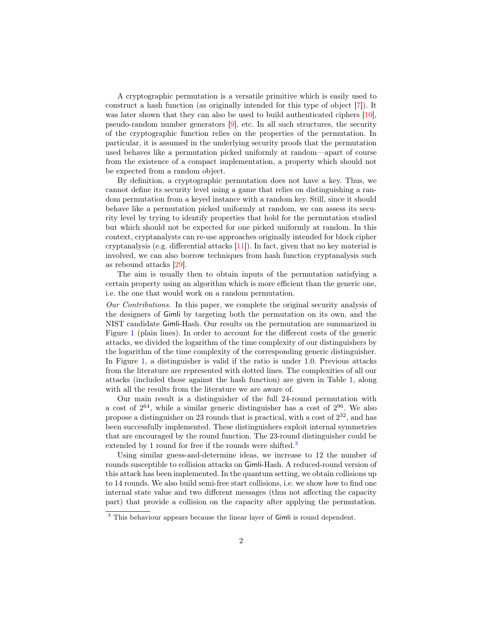A cryptographic permutation is a versatile primitive which is easily used to construct a hash function (as originally intended for this type of object [\[7\]](#page-33-2)). It was later shown that they can also be used to build authenticated ciphers [\[10\]](#page-33-3), pseudo-random number generators [\[9\]](#page-33-4), etc. In all such structures, the security of the cryptographic function relies on the properties of the permutation. In particular, it is assumed in the underlying security proofs that the permutation used behaves like a permutation picked uniformly at random—apart of course from the existence of a compact implementation, a property which should not be expected from a random object.

By definition, a cryptographic permutation does not have a key. Thus, we cannot define its security level using a game that relies on distinguishing a random permutation from a keyed instance with a random key. Still, since it should behave like a permutation picked uniformly at random, we can assess its security level by trying to identify properties that hold for the permutation studied but which should not be expected for one picked uniformly at random. In this context, cryptanalysts can re-use approaches originally intended for block cipher cryptanalysis (e.g. differential attacks [\[11\]](#page-33-5)). In fact, given that no key material is involved, we can also borrow techniques from hash function cryptanalysis such as rebound attacks [\[29\]](#page-34-1).

The aim is usually then to obtain inputs of the permutation satisfying a certain property using an algorithm which is more efficient than the generic one, i.e. the one that would work on a random permutation.

Our Contributions. In this paper, we complete the original security analysis of the designers of Gimli by targeting both the permutation on its own, and the NIST candidate Gimli-Hash. Our results on the permutation are summarized in Figure [1](#page-2-0) (plain lines). In order to account for the different costs of the generic attacks, we divided the logarithm of the time complexity of our distinguishers by the logarithm of the time complexity of the corresponding generic distinguisher. In Figure [1,](#page-2-0) a distinguisher is valid if the ratio is under 1.0. Previous attacks from the literature are represented with dotted lines. The complexities of all our attacks (included those against the hash function) are given in Table [1,](#page-3-0) along with all the results from the literature we are aware of.

Our main result is a distinguisher of the full 24-round permutation with a cost of  $2^{64}$ , while a similar generic distinguisher has a cost of  $2^{96}$ . We also propose a distinguisher on 23 rounds that is practical, with a cost of  $2^{32}$ , and has been successfully implemented. These distinguishers exploit internal symmetries that are encouraged by the round function. The 23-round distinguisher could be extended by 1 round for free if the rounds were shifted.<sup>[3](#page-1-0)</sup>

Using similar guess-and-determine ideas, we increase to 12 the number of rounds susceptible to collision attacks on Gimli-Hash. A reduced-round version of this attack has been implemented. In the quantum setting, we obtain collisions up to 14 rounds. We also build semi-free start collisions, i.e. we show how to find one internal state value and two different messages (thus not affecting the capacity part) that provide a collision on the capacity after applying the permutation.

<span id="page-1-0"></span><sup>&</sup>lt;sup>3</sup> This behaviour appears because the linear layer of Gimli is round dependent.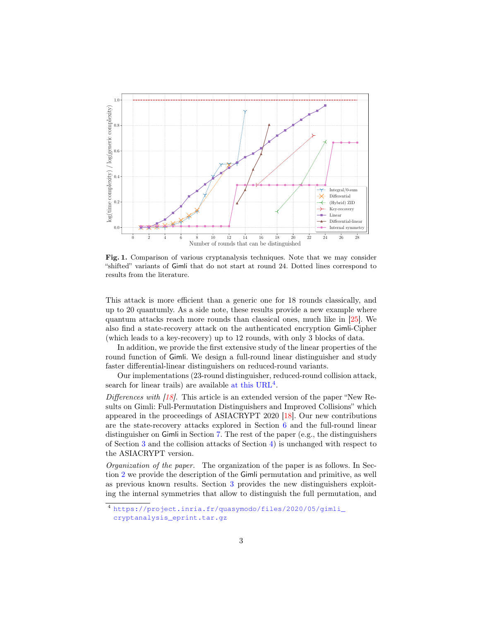

<span id="page-2-0"></span>Fig. 1. Comparison of various cryptanalysis techniques. Note that we may consider "shifted" variants of Gimli that do not start at round 24. Dotted lines correspond to results from the literature.

This attack is more efficient than a generic one for 18 rounds classically, and up to 20 quantumly. As a side note, these results provide a new example where quantum attacks reach more rounds than classical ones, much like in [\[25\]](#page-34-2). We also find a state-recovery attack on the authenticated encryption Gimli-Cipher (which leads to a key-recovery) up to 12 rounds, with only 3 blocks of data.

In addition, we provide the first extensive study of the linear properties of the round function of Gimli. We design a full-round linear distinguisher and study faster differential-linear distinguishers on reduced-round variants.

Our implementations (23-round distinguisher, reduced-round collision attack, search for linear trails) are available at this  $\text{URL}^4$  $\text{URL}^4$ .

Differences with [\[18\]](#page-34-0). This article is an extended version of the paper "New Results on Gimli: Full-Permutation Distinguishers and Improved Collisions" which appeared in the proceedings of ASIACRYPT 2020 [\[18\]](#page-34-0). Our new contributions are the state-recovery attacks explored in Section [6](#page-22-0) and the full-round linear distinguisher on Gimli in Section [7.](#page-24-0) The rest of the paper (e.g., the distinguishers of Section [3](#page-8-0) and the collision attacks of Section [4\)](#page-12-0) is unchanged with respect to the ASIACRYPT version.

Organization of the paper. The organization of the paper is as follows. In Section [2](#page-4-0) we provide the description of the Gimli permutation and primitive, as well as previous known results. Section [3](#page-8-0) provides the new distinguishers exploiting the internal symmetries that allow to distinguish the full permutation, and

<span id="page-2-1"></span><sup>4</sup> [https://project.inria.fr/quasymodo/files/2020/05/gimli\\_](https://project.inria.fr/quasymodo/files/2020/05/gimli_cryptanalysis_eprint.tar.gz) [cryptanalysis\\_eprint.tar.gz](https://project.inria.fr/quasymodo/files/2020/05/gimli_cryptanalysis_eprint.tar.gz)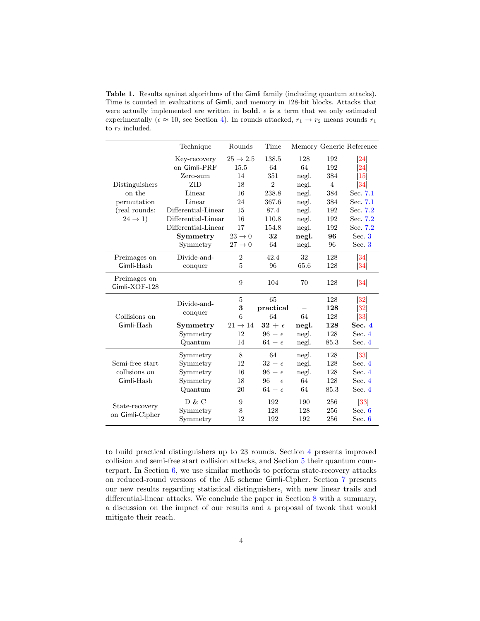<span id="page-3-0"></span>Table 1. Results against algorithms of the Gimli family (including quantum attacks). Time is counted in evaluations of Gimli, and memory in 128-bit blocks. Attacks that were actually implemented are written in **bold**.  $\epsilon$  is a term that we only estimated experimentally ( $\epsilon \approx 10$ , see Section [4\)](#page-12-0). In rounds attacked,  $r_1 \rightarrow r_2$  means rounds  $r_1$ to  $r_2$  included.

|                               | Technique           | Rounds               | Time            |       |                | Memory Generic Reference |
|-------------------------------|---------------------|----------------------|-----------------|-------|----------------|--------------------------|
|                               | Key-recovery        | $25 \rightarrow 2.5$ | 138.5           | 128   | 192            | 24                       |
|                               | on Gimli-PRF        | 15.5                 | 64              | 64    | 192            | $\left  24 \right $      |
|                               | Zero-sum            | 14                   | 351             | negl. | 384            | $\vert 15 \vert$         |
| Distinguishers                | <b>ZID</b>          | 18                   | $\overline{2}$  | negl. | $\overline{4}$ | 34                       |
| on the                        | Linear              | 16                   | 238.8           | negl. | 384            | Sec. 7.1                 |
| permutation                   | Linear              | 24                   | 367.6           | negl. | 384            | Sec. 7.1                 |
| (real rounds:                 | Differential-Linear | 15                   | 87.4            | negl. | 192            | Sec. 7.2                 |
| $24 \rightarrow 1$ )          | Differential-Linear | 16                   | 110.8           | negl. | 192            | Sec. 7.2                 |
|                               | Differential-Linear | 17                   | 154.8           | negl. | 192            | Sec. 7.2                 |
|                               | Symmetry            | $23 \rightarrow 0$   | 32              | negl. | 96             | Sec. $3$                 |
|                               | Symmetry            | $27 \rightarrow 0$   | 64              | negl. | 96             | Sec. 3                   |
| Preimages on                  | Divide-and-         | $\overline{2}$       | 42.4            | 32    | 128            | 34                       |
| Gimli-Hash                    | conquer             | 5                    | 96              | 65.6  | 128            | [34]                     |
| Preimages on<br>Gimli-XOF-128 |                     | 9                    | 104             | 70    | 128            | $\left[34\right]$        |
|                               |                     | $\overline{5}$       | 65              |       | 128            | $\left 32\right $        |
|                               | Divide-and-         | 3                    | practical       |       | 128            | $\left 32\right $        |
| Collisions on                 | conquer             | 6                    | 64              | 64    | 128            | $\left 33\right $        |
| Gimli-Hash                    | Symmetry            | $21 \rightarrow 14$  | $32 + \epsilon$ | negl. | 128            | Sec. $4$                 |
|                               | Symmetry            | 12                   | $96+\epsilon$   | negl. | 128            | Sec. $4$                 |
|                               | Quantum             | 14                   | $64+\epsilon$   | negl. | 85.3           | Sec. 4                   |
|                               | Symmetry            | 8                    | 64              | negl. | 128            | 33                       |
| Semi-free start               | Symmetry            | 12                   | $32 + \epsilon$ | negl. | 128            | Sec. $4$                 |
| collisions on                 | Symmetry            | 16                   | $96+\epsilon$   | negl. | 128            | Sec. $4$                 |
| Gimli-Hash                    | Symmetry            | 18                   | $96+\epsilon$   | 64    | 128            | Sec. $4$                 |
|                               | Quantum             | 20                   | $64+\epsilon$   | 64    | 85.3           | Sec. 4                   |
|                               | D & C               | 9                    | 192             | 190   | 256            | $\left 33\right $        |
| State-recovery                | Symmetry            | 8                    | 128             | 128   | 256            | Sec. $6$                 |
| on Gimli-Cipher               | Symmetry            | 12                   | 192             | 192   | 256            | Sec. $6$                 |

to build practical distinguishers up to 23 rounds. Section [4](#page-12-0) presents improved collision and semi-free start collision attacks, and Section [5](#page-18-0) their quantum counterpart. In Section [6,](#page-22-0) we use similar methods to perform state-recovery attacks on reduced-round versions of the AE scheme Gimli-Cipher. Section [7](#page-24-0) presents our new results regarding statistical distinguishers, with new linear trails and differential-linear attacks. We conclude the paper in Section [8](#page-31-0) with a summary, a discussion on the impact of our results and a proposal of tweak that would mitigate their reach.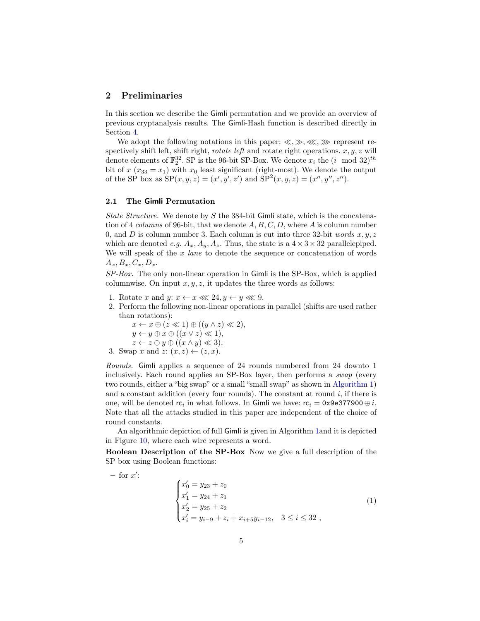## <span id="page-4-0"></span>2 Preliminaries

In this section we describe the Gimli permutation and we provide an overview of previous cryptanalysis results. The Gimli-Hash function is described directly in Section [4.](#page-12-0)

We adopt the following notations in this paper:  $\langle \xi, \rangle$ ,  $\langle \xi, \rangle$  represent respectively shift left, shift right, *rotate left* and rotate right operations.  $x, y, z$  will denote elements of  $\mathbb{F}_2^{32}$ . SP is the 96-bit SP-Box. We denote  $x_i$  the  $(i \mod 32)^{th}$ bit of  $x(x_{33} = x_1)$  with  $x_0$  least significant (right-most). We denote the output of the SP box as  $SP(x, y, z) = (x', y', z')$  and  $SP^2(x, y, z) = (x'', y'', z'')$ .

#### 2.1 The Gimli Permutation

State Structure. We denote by  $S$  the 384-bit Gimli state, which is the concatenation of 4 columns of 96-bit, that we denote  $A, B, C, D$ , where A is column number 0, and D is column number 3. Each column is cut into three 32-bit words  $x, y, z$ which are denoted e.g.  $A_x, A_y, A_z$ . Thus, the state is a  $4 \times 3 \times 32$  parallelepiped. We will speak of the  $x$  lane to denote the sequence or concatenation of words  $A_x, B_x, C_x, D_x.$ 

SP-Box. The only non-linear operation in Gimli is the SP-Box, which is applied columnwise. On input  $x, y, z$ , it updates the three words as follows:

- 1. Rotate x and y:  $x \leftarrow x \ll 24, y \leftarrow y \ll 9$ .
- 2. Perform the following non-linear operations in parallel (shifts are used rather than rotations):

 $x \leftarrow x \oplus (z \ll 1) \oplus ((y \wedge z) \ll 2),$  $y \leftarrow y \oplus x \oplus ((x \vee z) \ll 1),$  $z \leftarrow z \oplus y \oplus ((x \wedge y) \ll 3).$ 3. Swap x and  $z: (x, z) \leftarrow (z, x)$ .

Rounds. Gimli applies a sequence of 24 rounds numbered from 24 downto 1 inclusively. Each round applies an SP-Box layer, then performs a swap (every two rounds, either a "big swap" or a small "small swap" as shown in [Algorithm 1\)](#page-5-0) and a constant addition (every four rounds). The constant at round  $i$ , if there is one, will be denoted  $rc_i$  in what follows. In Gimli we have:  $rc_i = 0x9e377900 \oplus i$ . Note that all the attacks studied in this paper are independent of the choice of round constants.

An algorithmic depiction of full Gimli is given in Algorithm [1a](#page-5-0)nd it is depicted in Figure [10,](#page-37-0) where each wire represents a word.

Boolean Description of the SP-Box Now we give a full description of the SP box using Boolean functions:

$$
- for x' :\\
$$

<span id="page-4-1"></span>:  
\n
$$
\begin{cases}\nx'_0 = y_{23} + z_0 \\
x'_1 = y_{24} + z_1 \\
x'_2 = y_{25} + z_2 \\
x'_i = y_{i-9} + z_i + x_{i+5}y_{i-12}, \quad 3 \le i \le 32\n\end{cases}
$$
\n(1)

(1)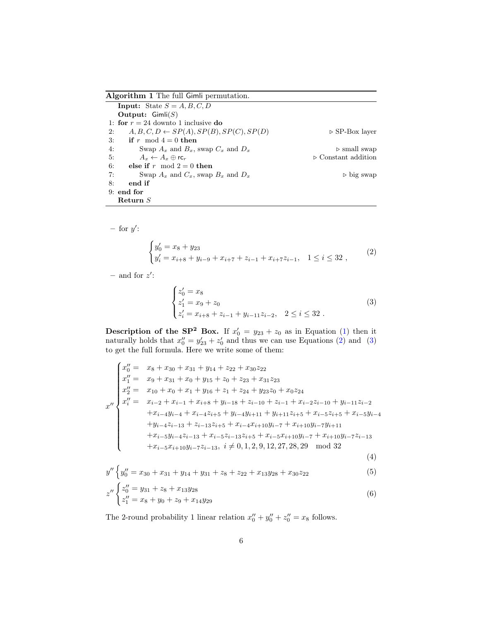Algorithm 1 The full Gimli permutation.

**Input:** State  $S = A, B, C, D$ Output:  $Gimli(S)$ 1: for  $r = 24$  downto 1 inclusive do 2:  $A, B, C, D \leftarrow SP(A), SP(B), SP(C), SP(D)$   $\triangleright$  SP-Box layer 3: if  $r \mod 4 = 0$  then 4: Swap  $A_x$  and  $B_x$ , swap  $C_x$  and  $D_x$   $\triangleright$  small swap 5:  $A_x \leftarrow A_x \oplus \text{rc}_r$   $\triangleright$  Constant addition 6: else if  $r \mod 2 = 0$  then 7: Swap  $A_x$  and  $C_x$ , swap  $B_x$  and  $D_x$   $\triangleright$  big swap 8: end if 9: end for Return  ${\cal S}$ 

<span id="page-5-0"></span>
$$
- for y' :
$$

<span id="page-5-1"></span>
$$
\begin{cases}\ny_0' = x_8 + y_{23} \\
y_i' = x_{i+8} + y_{i-9} + x_{i+7} + z_{i-1} + x_{i+7}z_{i-1}, \quad 1 \le i \le 32\n\end{cases}
$$
\n(2)

 $-$  and for  $z'$ :

<span id="page-5-2"></span>
$$
\begin{cases}\nz_0' = x_8 \\
z_1' = x_9 + z_0 \\
z_i' = x_{i+8} + z_{i-1} + y_{i-11}z_{i-2}, \quad 2 \le i \le 32 .\n\end{cases}
$$
\n(3)

<span id="page-5-3"></span>**Description of the SP<sup>2</sup> Box.** If  $x'_0 = y_{23} + z_0$  as in Equation [\(1\)](#page-4-1) then it naturally holds that  $x''_0 = y'_{23} + z'_0$  and thus we can use Equations [\(2\)](#page-5-1) and [\(3\)](#page-5-2) to get the full formula. Here we write some of them:

$$
\begin{cases}\nx_0'' = x_8 + x_{30} + x_{31} + y_{14} + z_{22} + x_{30}z_{22} \\
x_1'' = x_9 + x_{31} + x_0 + y_{15} + z_0 + z_{23} + x_{31}z_{23} \\
x_2'' = x_{10} + x_0 + x_1 + y_{16} + z_1 + z_{24} + y_{23}z_0 + x_0z_{24} \\
x_3'' = x_{i-2} + x_{i-1} + x_{i+8} + y_{i-18} + z_{i-10} + z_{i-1} + x_{i-2}z_{i-10} + y_{i-11}z_{i-2} \\
+ x_{i-4}y_{i-4} + x_{i-4}z_{i+5} + y_{i-4}y_{i+11} + y_{i+11}z_{i+5} + x_{i-5}z_{i+5} + x_{i-5}y_{i-4} \\
+ y_{i-4}z_{i-13} + z_{i-13}z_{i+5} + x_{i-4}x_{i+10}y_{i-7} + x_{i+10}y_{i-7}y_{i+11} \\
+ x_{i-5}y_{i-4}z_{i-13} + x_{i-5}z_{i-13}z_{i+5} + x_{i-5}x_{i+10}y_{i-7} + x_{i+10}y_{i-7}z_{i-13} \\
+ x_{i-5}x_{i+10}y_{i-7}z_{i-13}, \quad i \neq 0, 1, 2, 9, 12, 27, 28, 29 \mod 32\n\end{cases} (4)
$$

$$
y''\left\{y_0'' = x_{30} + x_{31} + y_{14} + y_{31} + z_8 + z_{22} + x_{13}y_{28} + x_{30}z_{22} \tag{5}
$$

$$
z'' \begin{cases} z_0'' = y_{31} + z_8 + x_{13}y_{28} \\ z_1'' = x_8 + y_0 + z_9 + x_{14}y_{29} \end{cases}
$$
 (6)

The 2-round probability 1 linear relation  $x''_0 + y''_0 + z''_0 = x_8$  follows.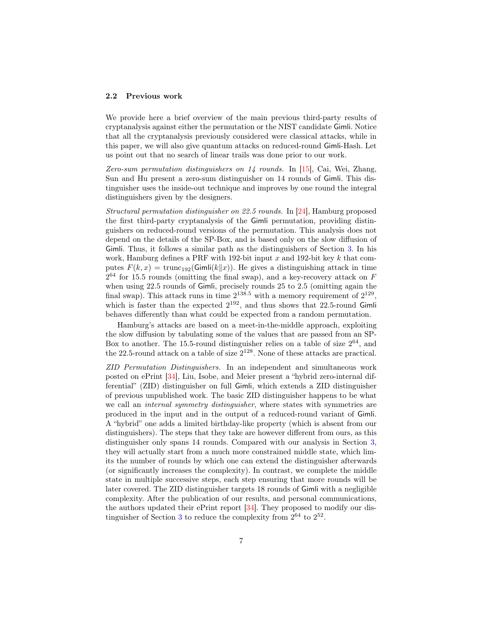#### 2.2 Previous work

We provide here a brief overview of the main previous third-party results of cryptanalysis against either the permutation or the NIST candidate Gimli. Notice that all the cryptanalysis previously considered were classical attacks, while in this paper, we will also give quantum attacks on reduced-round Gimli-Hash. Let us point out that no search of linear trails was done prior to our work.

Zero-sum permutation distinguishers on 14 rounds. In [\[15\]](#page-33-6), Cai, Wei, Zhang, Sun and Hu present a zero-sum distinguisher on 14 rounds of Gimli. This distinguisher uses the inside-out technique and improves by one round the integral distinguishers given by the designers.

Structural permutation distinguisher on 22.5 rounds. In [\[24\]](#page-34-3), Hamburg proposed the first third-party cryptanalysis of the Gimli permutation, providing distinguishers on reduced-round versions of the permutation. This analysis does not depend on the details of the SP-Box, and is based only on the slow diffusion of Gimli. Thus, it follows a similar path as the distinguishers of Section [3.](#page-8-0) In his work, Hamburg defines a PRF with 192-bit input  $x$  and 192-bit key  $k$  that computes  $F(k, x) = \text{trunc}_{192}(\text{Gimli}(k||x))$ . He gives a distinguishing attack in time  $2^{64}$  for 15.5 rounds (omitting the final swap), and a key-recovery attack on F when using 22.5 rounds of Gimli, precisely rounds 25 to 2.5 (omitting again the final swap). This attack runs in time  $2^{138.5}$  with a memory requirement of  $2^{129}$ , which is faster than the expected  $2^{192}$ , and thus shows that 22.5-round Gimli behaves differently than what could be expected from a random permutation.

Hamburg's attacks are based on a meet-in-the-middle approach, exploiting the slow diffusion by tabulating some of the values that are passed from an SP-Box to another. The 15.5-round distinguisher relies on a table of size  $2^{64}$ , and the 22.5-round attack on a table of size  $2^{128}$ . None of these attacks are practical.

ZID Permutation Distinguishers. In an independent and simultaneous work posted on ePrint [\[34\]](#page-35-0), Liu, Isobe, and Meier present a "hybrid zero-internal differential" (ZID) distinguisher on full Gimli, which extends a ZID distinguisher of previous unpublished work. The basic ZID distinguisher happens to be what we call an *internal symmetry distinguisher*, where states with symmetries are produced in the input and in the output of a reduced-round variant of Gimli. A "hybrid" one adds a limited birthday-like property (which is absent from our distinguishers). The steps that they take are however different from ours, as this distinguisher only spans 14 rounds. Compared with our analysis in Section [3,](#page-8-0) they will actually start from a much more constrained middle state, which limits the number of rounds by which one can extend the distinguisher afterwards (or significantly increases the complexity). In contrast, we complete the middle state in multiple successive steps, each step ensuring that more rounds will be later covered. The ZID distinguisher targets 18 rounds of Gimli with a negligible complexity. After the publication of our results, and personal communications, the authors updated their ePrint report [\[34\]](#page-35-0). They proposed to modify our dis-tinguisher of Section [3](#page-8-0) to reduce the complexity from  $2^{64}$  to  $2^{52}$ .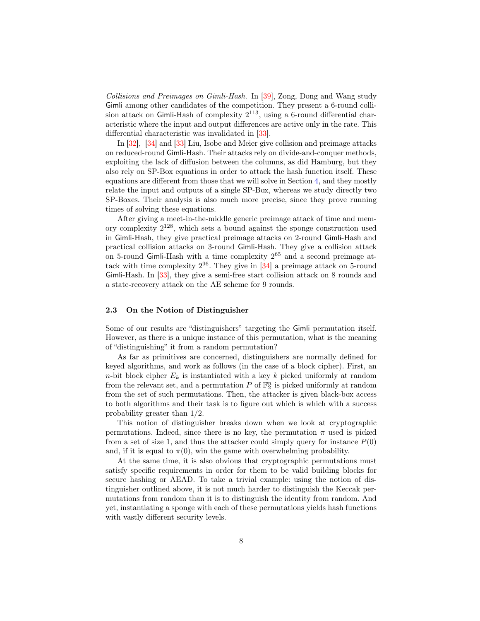Collisions and Preimages on Gimli-Hash. In [\[39\]](#page-35-3), Zong, Dong and Wang study Gimli among other candidates of the competition. They present a 6-round collision attack on Gimli-Hash of complexity  $2^{113}$ , using a 6-round differential characteristic where the input and output differences are active only in the rate. This differential characteristic was invalidated in [\[33\]](#page-35-2).

In [\[32\]](#page-35-1), [\[34\]](#page-35-0) and [\[33\]](#page-35-2) Liu, Isobe and Meier give collision and preimage attacks on reduced-round Gimli-Hash. Their attacks rely on divide-and-conquer methods, exploiting the lack of diffusion between the columns, as did Hamburg, but they also rely on SP-Box equations in order to attack the hash function itself. These equations are different from those that we will solve in Section [4,](#page-12-0) and they mostly relate the input and outputs of a single SP-Box, whereas we study directly two SP-Boxes. Their analysis is also much more precise, since they prove running times of solving these equations.

After giving a meet-in-the-middle generic preimage attack of time and memory complexity  $2^{128}$ , which sets a bound against the sponge construction used in Gimli-Hash, they give practical preimage attacks on 2-round Gimli-Hash and practical collision attacks on 3-round Gimli-Hash. They give a collision attack on 5-round Gimli-Hash with a time complexity  $2^{65}$  and a second preimage attack with time complexity 2 <sup>96</sup>. They give in [\[34\]](#page-35-0) a preimage attack on 5-round Gimli-Hash. In [\[33\]](#page-35-2), they give a semi-free start collision attack on 8 rounds and a state-recovery attack on the AE scheme for 9 rounds.

### 2.3 On the Notion of Distinguisher

Some of our results are "distinguishers" targeting the Gimli permutation itself. However, as there is a unique instance of this permutation, what is the meaning of "distinguishing" it from a random permutation?

As far as primitives are concerned, distinguishers are normally defined for keyed algorithms, and work as follows (in the case of a block cipher). First, an *n*-bit block cipher  $E_k$  is instantiated with a key k picked uniformly at random from the relevant set, and a permutation  $P$  of  $\mathbb{F}_2^n$  is picked uniformly at random from the set of such permutations. Then, the attacker is given black-box access to both algorithms and their task is to figure out which is which with a success probability greater than 1/2.

This notion of distinguisher breaks down when we look at cryptographic permutations. Indeed, since there is no key, the permutation  $\pi$  used is picked from a set of size 1, and thus the attacker could simply query for instance  $P(0)$ and, if it is equal to  $\pi(0)$ , win the game with overwhelming probability.

At the same time, it is also obvious that cryptographic permutations must satisfy specific requirements in order for them to be valid building blocks for secure hashing or AEAD. To take a trivial example: using the notion of distinguisher outlined above, it is not much harder to distinguish the Keccak permutations from random than it is to distinguish the identity from random. And yet, instantiating a sponge with each of these permutations yields hash functions with vastly different security levels.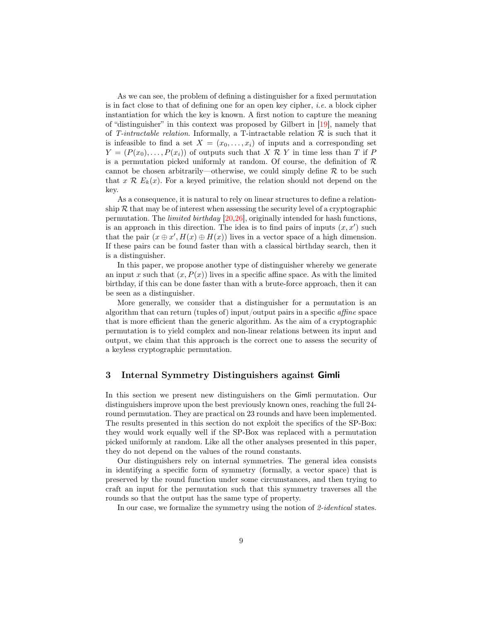As we can see, the problem of defining a distinguisher for a fixed permutation is in fact close to that of defining one for an open key cipher, i.e. a block cipher instantiation for which the key is known. A first notion to capture the meaning of "distinguisher" in this context was proposed by Gilbert in [\[19\]](#page-34-4), namely that of T-intractable relation. Informally, a T-intractable relation  $\mathcal R$  is such that it is infeasible to find a set  $X = (x_0, \ldots, x_i)$  of inputs and a corresponding set  $Y = (P(x_0), \ldots, P(x_i))$  of outputs such that  $X \mathcal{R} Y$  in time less than  $T$  if  $P$ is a permutation picked uniformly at random. Of course, the definition of  $\mathcal R$ cannot be chosen arbitrarily—otherwise, we could simply define  $\mathcal R$  to be such that  $x \mathcal{R} E_k(x)$ . For a keyed primitive, the relation should not depend on the key.

As a consequence, it is natural to rely on linear structures to define a relationship  $\mathcal R$  that may be of interest when assessing the security level of a cryptographic permutation. The limited birthday [\[20,](#page-34-5)[26\]](#page-34-6), originally intended for hash functions, is an approach in this direction. The idea is to find pairs of inputs  $(x, x')$  such that the pair  $(x \oplus x', H(x) \oplus H(x))$  lives in a vector space of a high dimension. If these pairs can be found faster than with a classical birthday search, then it is a distinguisher.

In this paper, we propose another type of distinguisher whereby we generate an input x such that  $(x, P(x))$  lives in a specific affine space. As with the limited birthday, if this can be done faster than with a brute-force approach, then it can be seen as a distinguisher.

More generally, we consider that a distinguisher for a permutation is an algorithm that can return (tuples of) input/output pairs in a specific affine space that is more efficient than the generic algorithm. As the aim of a cryptographic permutation is to yield complex and non-linear relations between its input and output, we claim that this approach is the correct one to assess the security of a keyless cryptographic permutation.

### <span id="page-8-0"></span>3 Internal Symmetry Distinguishers against Gimli

In this section we present new distinguishers on the Gimli permutation. Our distinguishers improve upon the best previously known ones, reaching the full 24 round permutation. They are practical on 23 rounds and have been implemented. The results presented in this section do not exploit the specifics of the SP-Box: they would work equally well if the SP-Box was replaced with a permutation picked uniformly at random. Like all the other analyses presented in this paper, they do not depend on the values of the round constants.

Our distinguishers rely on internal symmetries. The general idea consists in identifying a specific form of symmetry (formally, a vector space) that is preserved by the round function under some circumstances, and then trying to craft an input for the permutation such that this symmetry traverses all the rounds so that the output has the same type of property.

In our case, we formalize the symmetry using the notion of 2-identical states.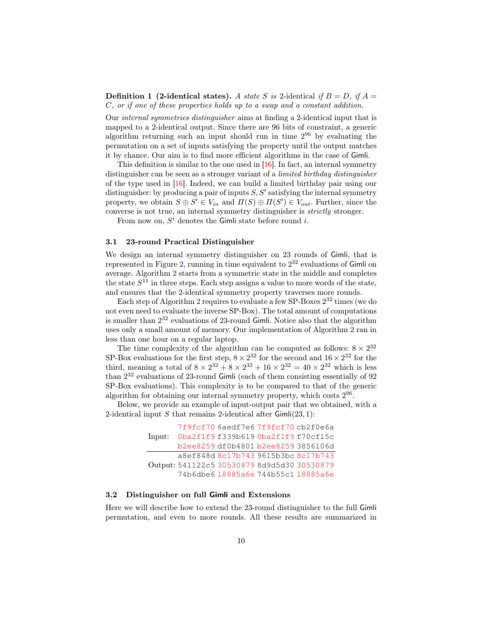**Definition 1 (2-identical states).** A state S is 2-identical if  $B = D$ , if  $A =$  $C$ , or if one of these properties holds up to a swap and a constant addition.

Our internal symmetries distinguisher aims at finding a 2-identical input that is mapped to a 2-identical output. Since there are 96 bits of constraint, a generic algorithm returning such an input should run in time 2 <sup>96</sup> by evaluating the permutation on a set of inputs satisfying the property until the output matches it by chance. Our aim is to find more efficient algorithms in the case of Gimli.

This definition is similar to the one used in [\[16\]](#page-33-7). In fact, an internal symmetry distinguisher can be seen as a stronger variant of a *limited birthday distinguisher* of the type used in [\[16\]](#page-33-7). Indeed, we can build a limited birthday pair using our distinguisher: by producing a pair of inputs  $S, S'$  satisfying the internal symmetry property, we obtain  $S \oplus S' \in V_{in}$  and  $\Pi(S) \oplus \Pi(S') \in V_{out}$ . Further, since the converse is not true, an internal symmetry distinguisher is strictly stronger.

From now on,  $S^i$  denotes the Gimli state before round *i*.

#### 3.1 23-round Practical Distinguisher

We design an internal symmetry distinguisher on 23 rounds of Gimli, that is represented in Figure [2,](#page-10-0) running in time equivalent to  $2^{32}$  evaluations of Gimli on average. Algorithm [2](#page-11-0) starts from a symmetric state in the middle and completes the state  $S^{11}$  in three steps. Each step assigns a value to more words of the state, and ensures that the 2-identical symmetry property traverses more rounds.

Each step of Algorithm [2](#page-11-0) requires to evaluate a few SP-Boxes  $2^{32}$  times (we do not even need to evaluate the inverse SP-Box). The total amount of computations is smaller than 2 <sup>32</sup> evaluations of 23-round Gimli. Notice also that the algorithm uses only a small amount of memory. Our implementation of Algorithm [2](#page-11-0) ran in less than one hour on a regular laptop.

The time complexity of the algorithm can be computed as follows:  $8 \times 2^{32}$ SP-Box evaluations for the first step,  $8 \times 2^{32}$  for the second and  $16 \times 2^{32}$  for the third, meaning a total of  $8 \times 2^{32} + 8 \times 2^{32} + 16 \times 2^{32} = 40 \times 2^{32}$  which is less than 2 <sup>32</sup> evaluations of 23-round Gimli (each of them consisting essentially of 92 SP-Box evaluations). This complexity is to be compared to that of the generic algorithm for obtaining our internal symmetry property, which costs  $2^{96}$ .

Below, we provide an example of input-output pair that we obtained, with a 2-identical input S that remains 2-identical after  $Gimli(23, 1)$ :

> 7f9fcf70 6aedf7e6 7f9fcf70 cb2f0e6a Input: 0ba2f1f9 f339b619 0ba2f1f9 f70cf15c b2ee8259 df0b4801 b2ee8259 3856106d a8ef848d 8c17b743 9615b3bc 8c17b743 Output: 541122c5 30530879 8d9d5d30 30530879 74b6dbe6 18885a6e 744b55c1 18885a6e

## 3.2 Distinguisher on full Gimli and Extensions

Here we will describe how to extend the 23-round distinguisher to the full Gimli permutation, and even to more rounds. All these results are summarized in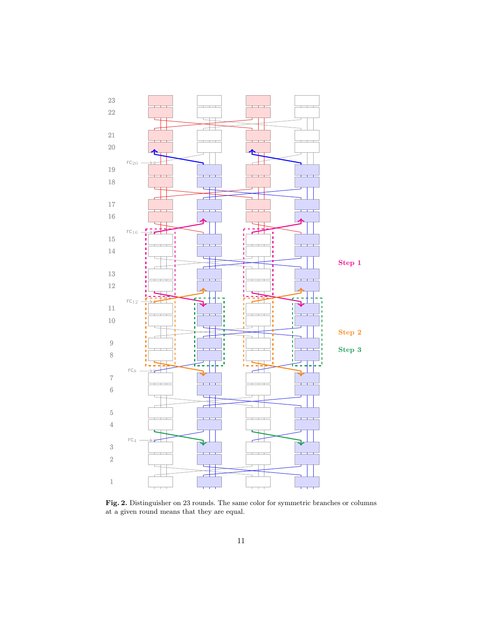

<span id="page-10-0"></span>Fig. 2. Distinguisher on 23 rounds. The same color for symmetric branches or columns at a given round means that they are equal.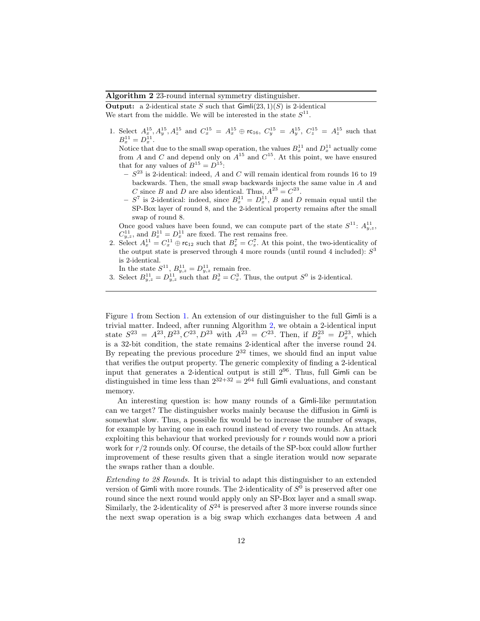#### Algorithm 2 23-round internal symmetry distinguisher.

**Output:** a 2-identical state S such that  $\text{Gimli}(23,1)(S)$  is 2-identical We start from the middle. We will be interested in the state  $S^{11}$ .

1. Select  $A_x^{15}, A_y^{15}, A_z^{15}$  and  $C_x^{15} = A_x^{15} \oplus \text{rc}_{16}$ ,  $C_y^{15} = A_y^{15}$ ,  $C_z^{15} = A_z^{15}$  such that  $B_x^{11} = D_x^{11}.$ 

Notice that due to the small swap operation, the values  $B_x^{11}$  and  $D_x^{11}$  actually come from A and C and depend only on  $A^{15}$  and  $C^{15}$ . At this point, we have ensured that for any values of  $B^{15} = D^{15}$ :

- $S^{23}$  is 2-identical: indeed, A and C will remain identical from rounds 16 to 19 backwards. Then, the small swap backwards injects the same value in  $A$  and C since B and D are also identical. Thus,  $A^{23} = C^{23}$ .
- $S^7$  is 2-identical: indeed, since  $B_x^{11} = D_x^{11}$ , B and D remain equal until the SP-Box layer of round 8, and the 2-identical property remains after the small swap of round 8.

Once good values have been found, we can compute part of the state  $S^{11}$ :  $A_{y,z}^{11}$ ,  $C_{y,z}^{11}$ , and  $B_x^{11} = D_x^{11}$  are fixed. The rest remains free.

2. Select  $A_x^{11} = C_x^{11} \oplus \text{rc}_{12}$  such that  $B_x^7 = C_x^7$ . At this point, the two-identicality of the output state is preserved through 4 more rounds (until round 4 included):  $S<sup>3</sup>$ is 2-identical.

In the state  $S^{11}$ ,  $B_{y,z}^{11} = D_{y,z}^{11}$  remain free.

<span id="page-11-0"></span>3. Select  $B_{y,z}^{11} = D_{y,z}^{11}$  such that  $B_x^3 = C_x^3$ . Thus, the output  $S^0$  is 2-identical.

Figure [1](#page-2-0) from Section [1.](#page-0-0) An extension of our distinguisher to the full Gimli is a trivial matter. Indeed, after running Algorithm [2,](#page-11-0) we obtain a 2-identical input state  $S^{23} = A^{23}, B^{23}, C^{23}, D^{23}$  with  $A^{23} = C^{23}$ . Then, if  $B_x^{23} = D_x^{23}$ , which is a 32-bit condition, the state remains 2-identical after the inverse round 24. By repeating the previous procedure  $2^{32}$  times, we should find an input value that verifies the output property. The generic complexity of finding a 2-identical input that generates a 2-identical output is still 2 <sup>96</sup>. Thus, full Gimli can be distinguished in time less than  $2^{32+32} = 2^{64}$  full Gimli evaluations, and constant memory.

An interesting question is: how many rounds of a Gimli-like permutation can we target? The distinguisher works mainly because the diffusion in Gimli is somewhat slow. Thus, a possible fix would be to increase the number of swaps, for example by having one in each round instead of every two rounds. An attack exploiting this behaviour that worked previously for  $r$  rounds would now a priori work for  $r/2$  rounds only. Of course, the details of the SP-box could allow further improvement of these results given that a single iteration would now separate the swaps rather than a double.

Extending to 28 Rounds. It is trivial to adapt this distinguisher to an extended version of Gimli with more rounds. The 2-identicality of  $S^0$  is preserved after one round since the next round would apply only an SP-Box layer and a small swap. Similarly, the 2-identicality of  $S^{24}$  is preserved after 3 more inverse rounds since the next swap operation is a big swap which exchanges data between  $A$  and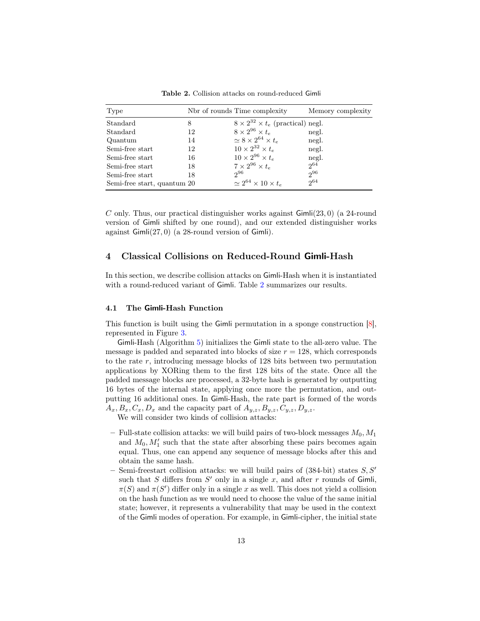<span id="page-12-1"></span>

| Type                        |    | Not of rounds Time complexity                  | Memory complexity |
|-----------------------------|----|------------------------------------------------|-------------------|
| Standard                    | 8  | $8 \times 2^{32} \times t_e$ (practical) negl. |                   |
| Standard                    | 12 | $8 \times 2^{96} \times t_e$                   | negl.             |
| Quantum                     | 14 | $\simeq 8 \times 2^{64} \times t_e$            | negl.             |
| Semi-free start             | 12 | $10 \times 2^{32} \times t_e$                  | negl.             |
| Semi-free start             | 16 | $10 \times 2^{96} \times t_e$                  | negl.             |
| Semi-free start             | 18 | $7 \times 2^{96} \times t_e$                   | $2^{64}$          |
| Semi-free start             | 18 | $2^{96}$                                       | $2^{96}$          |
| Semi-free start, quantum 20 |    | $\simeq 2^{64} \times 10 \times t_e$           | $2^{64}$          |

Table 2. Collision attacks on round-reduced Gimli

C only. Thus, our practical distinguisher works against  $\text{Gimli}(23,0)$  (a 24-round version of Gimli shifted by one round), and our extended distinguisher works against  $Gimli(27,0)$  (a 28-round version of  $Gimli$ ).

## <span id="page-12-0"></span>4 Classical Collisions on Reduced-Round Gimli-Hash

In this section, we describe collision attacks on Gimli-Hash when it is instantiated with a round-reduced variant of Gimli. Table [2](#page-12-1) summarizes our results.

#### 4.1 The Gimli-Hash Function

This function is built using the Gimli permutation in a sponge construction [\[8\]](#page-33-8), represented in Figure [3.](#page-13-0)

Gimli-Hash (Algorithm [5\)](#page-36-0) initializes the Gimli state to the all-zero value. The message is padded and separated into blocks of size  $r = 128$ , which corresponds to the rate  $r$ , introducing message blocks of 128 bits between two permutation applications by XORing them to the first 128 bits of the state. Once all the padded message blocks are processed, a 32-byte hash is generated by outputting 16 bytes of the internal state, applying once more the permutation, and outputting 16 additional ones. In Gimli-Hash, the rate part is formed of the words  $A_x, B_x, C_x, D_x$  and the capacity part of  $A_{y,z}, B_{y,z}, C_{y,z}, D_{y,z}$ .

We will consider two kinds of collision attacks:

- Full-state collision attacks: we will build pairs of two-block messages  $M_0, M_1$ and  $M_0, M'_1$  such that the state after absorbing these pairs becomes again equal. Thus, one can append any sequence of message blocks after this and obtain the same hash.
- Semi-freestart collision attacks: we will build pairs of  $(384$ -bit) states  $S, S'$ such that  $S$  differs from  $S'$  only in a single  $x$ , and after  $r$  rounds of Gimli,  $\pi(S)$  and  $\pi(S')$  differ only in a single x as well. This does not yield a collision on the hash function as we would need to choose the value of the same initial state; however, it represents a vulnerability that may be used in the context of the Gimli modes of operation. For example, in Gimli-cipher, the initial state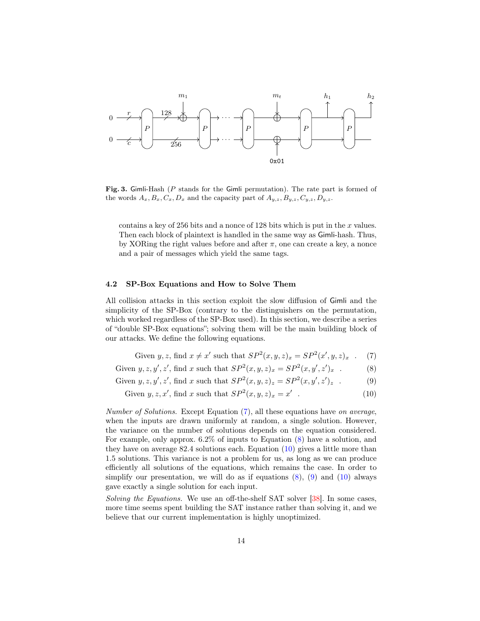

Fig. 3. Gimli-Hash ( $P$  stands for the Gimli permutation). The rate part is formed of the words  $A_x, B_x, C_x, D_x$  and the capacity part of  $A_{y,z}, B_{y,z}, C_{y,z}, D_{y,z}$ .

<span id="page-13-0"></span>contains a key of 256 bits and a nonce of 128 bits which is put in the  $x$  values. Then each block of plaintext is handled in the same way as Gimli-hash. Thus, by XORing the right values before and after  $\pi$ , one can create a key, a nonce and a pair of messages which yield the same tags.

#### 4.2 SP-Box Equations and How to Solve Them

All collision attacks in this section exploit the slow diffusion of Gimli and the simplicity of the SP-Box (contrary to the distinguishers on the permutation, which worked regardless of the SP-Box used). In this section, we describe a series of "double SP-Box equations"; solving them will be the main building block of our attacks. We define the following equations.

<span id="page-13-4"></span><span id="page-13-3"></span><span id="page-13-2"></span><span id="page-13-1"></span>Given  $y, z$ , find  $x \neq x'$  such that  $SP^2(x, y, z)_x = SP^2(x', y, z)_x$  . (7)

Given  $y, z, y', z'$ , find x such that  $SP^2(x, y, z)_x = SP^2(x, y', z')_x$ . (8)

Given  $y, z, y', z'$ , find x such that  $SP^2(x, y, z)_z = SP^2(x, y', z')_z$ . (9)

Given 
$$
y, z, x'
$$
, find x such that  $SP^2(x, y, z)_x = x'$ . (10)

Number of Solutions. Except Equation [\(7\)](#page-13-1), all these equations have on average, when the inputs are drawn uniformly at random, a single solution. However, the variance on the number of solutions depends on the equation considered. For example, only approx. 6.2% of inputs to Equation [\(8\)](#page-13-2) have a solution, and they have on average  $82.4$  solutions each. Equation  $(10)$  gives a little more than 1.5 solutions. This variance is not a problem for us, as long as we can produce efficiently all solutions of the equations, which remains the case. In order to simplify our presentation, we will do as if equations  $(8)$ ,  $(9)$  and  $(10)$  always gave exactly a single solution for each input.

Solving the Equations. We use an off-the-shelf SAT solver [\[38\]](#page-35-4). In some cases, more time seems spent building the SAT instance rather than solving it, and we believe that our current implementation is highly unoptimized.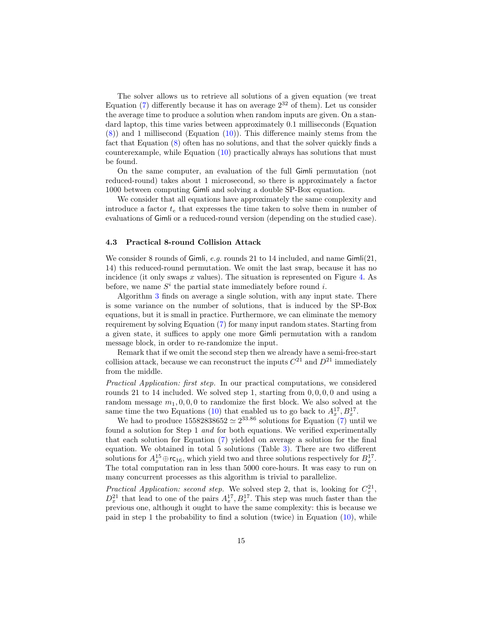The solver allows us to retrieve all solutions of a given equation (we treat Equation  $(7)$  differently because it has on average  $2^{32}$  of them). Let us consider the average time to produce a solution when random inputs are given. On a standard laptop, this time varies between approximately 0.1 milliseconds (Equation [\(8\)](#page-13-2)) and 1 millisecond (Equation [\(10\)](#page-13-3)). This difference mainly stems from the fact that Equation [\(8\)](#page-13-2) often has no solutions, and that the solver quickly finds a counterexample, while Equation [\(10\)](#page-13-3) practically always has solutions that must be found.

On the same computer, an evaluation of the full Gimli permutation (not reduced-round) takes about 1 microsecond, so there is approximately a factor 1000 between computing Gimli and solving a double SP-Box equation.

We consider that all equations have approximately the same complexity and introduce a factor  $t_e$  that expresses the time taken to solve them in number of evaluations of Gimli or a reduced-round version (depending on the studied case).

#### 4.3 Practical 8-round Collision Attack

We consider 8 rounds of Gimli, e.g. rounds 21 to 14 included, and name Gimli(21, 14) this reduced-round permutation. We omit the last swap, because it has no incidence (it only swaps  $x$  values). The situation is represented on Figure [4.](#page-15-0) As before, we name  $S^i$  the partial state immediately before round i.

Algorithm [3](#page-16-0) finds on average a single solution, with any input state. There is some variance on the number of solutions, that is induced by the SP-Box equations, but it is small in practice. Furthermore, we can eliminate the memory requirement by solving Equation [\(7\)](#page-13-1) for many input random states. Starting from a given state, it suffices to apply one more Gimli permutation with a random message block, in order to re-randomize the input.

Remark that if we omit the second step then we already have a semi-free-start collision attack, because we can reconstruct the inputs  $C^{21}$  and  $D^{21}$  immediately from the middle.

Practical Application: first step. In our practical computations, we considered rounds 21 to 14 included. We solved step 1, starting from  $0, 0, 0, 0$  and using a random message  $m_1, 0, 0, 0$  to randomize the first block. We also solved at the same time the two Equations [\(10\)](#page-13-3) that enabled us to go back to  $A_x^{17}, B_x^{17}$ .

We had to produce  $15582838652 \simeq 2^{33.86}$  solutions for Equation [\(7\)](#page-13-1) until we found a solution for Step 1 and for both equations. We verified experimentally that each solution for Equation [\(7\)](#page-13-1) yielded on average a solution for the final equation. We obtained in total 5 solutions (Table [3\)](#page-17-0). There are two different solutions for  $A_x^{15} \oplus \text{rc}_{16}$ , which yield two and three solutions respectively for  $B_x^{17}$ . The total computation ran in less than 5000 core-hours. It was easy to run on many concurrent processes as this algorithm is trivial to parallelize.

*Practical Application: second step.* We solved step 2, that is, looking for  $C_x^{21}$ ,  $D_x^{21}$  that lead to one of the pairs  $A_x^{17}, B_x^{17}$ . This step was much faster than the previous one, although it ought to have the same complexity: this is because we paid in step 1 the probability to find a solution (twice) in Equation  $(10)$ , while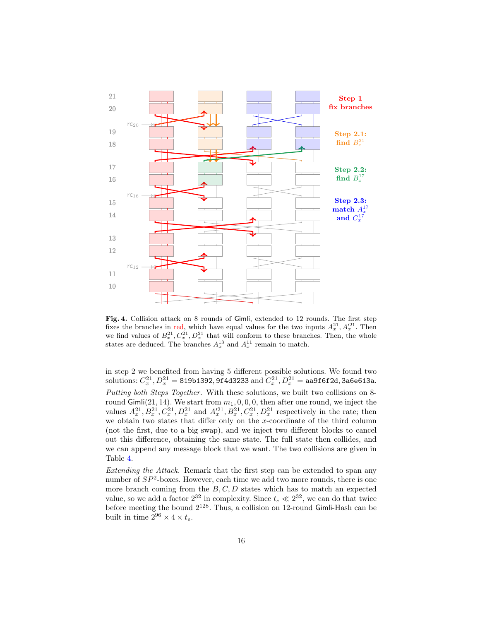

<span id="page-15-0"></span>Fig. 4. Collision attack on 8 rounds of Gimli, extended to 12 rounds. The first step fixes the branches in red, which have equal values for the two inputs  $A_x^{21}$ ,  $A_x^{\prime 21}$ . Then we find values of  $B_x^{21}$ ,  $C_x^{21}$ ,  $D_x^{21}$  that will conform to these branches. Then, the whole states are deduced. The branches  $A_x^{13}$  and  $A_x^{11}$  remain to match.

in step 2 we benefited from having 5 different possible solutions. We found two solutions:  $C_x^{21}, D_x^{21} = 819$ b1392, 9f4d3233 and  $C_x^{21}, D_x^{21} =$  aa9f6f2d, 3a6e613a. Putting both Steps Together. With these solutions, we built two collisions on 8round Gimli(21, 14). We start from  $m_1$ , 0, 0, 0, then after one round, we inject the values  $A_x^{21}, B_x^{21}, C_x^{21}, D_x^{21}$  and  $A_x'^{21}, B_x^{21}, C_x^{21}, D_x^{21}$  respectively in the rate; then we obtain two states that differ only on the  $x$ -coordinate of the third column (not the first, due to a big swap), and we inject two different blocks to cancel out this difference, obtaining the same state. The full state then collides, and we can append any message block that we want. The two collisions are given in Table [4.](#page-17-1)

Extending the Attack. Remark that the first step can be extended to span any number of  $SP<sup>2</sup>$ -boxes. However, each time we add two more rounds, there is one more branch coming from the  $B, C, D$  states which has to match an expected value, so we add a factor  $2^{32}$  in complexity. Since  $t_e \ll 2^{32}$ , we can do that twice before meeting the bound  $2^{128}$ . Thus, a collision on 12-round Gimli-Hash can be built in time  $2^{96} \times 4 \times t_e$ .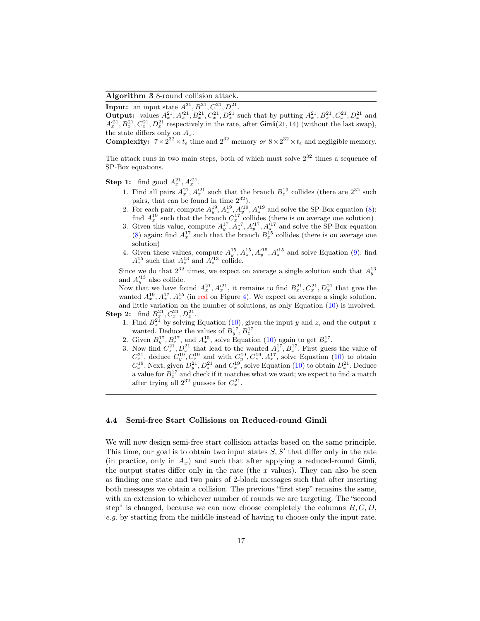### Algorithm 3 8-round collision attack.

**Input:** an input state  $A^{21}, B^{21}, C^{21}, D^{21}$ .

**Output:** values  $A_x^{21}, A_x'^{21}, B_x^{21}, C_x^{21}, D_x^{21}$  such that by putting  $A_x^{21}, B_x^{21}, C_x^{21}, D_x^{21}$  and  $A_x^{\prime 21}, B_x^{21}, C_x^{21}, D_x^{21}$  respectively in the rate, after Gimli(21, 14) (without the last swap), the state differs only on  $A_x$ .

**Complexity:**  $7 \times 2^{32} \times t_e$  time and  $2^{32}$  memory or  $8 \times 2^{32} \times t_e$  and negligible memory.

The attack runs in two main steps, both of which must solve  $2^{32}$  times a sequence of SP-Box equations.

**Step 1:** find good  $A_x^{21}, A_x'^{21}$ .

- 1. Find all pairs  $A_x^{21}$ ,  $A_x'^{21}$  such that the branch  $B_x^{19}$  collides (there are  $2^{32}$  such pairs, that can be found in time  $2^{32}$ ).
- 2. For each pair, compute  $A_y^{19}, A_z^{19}, A_y'^{19}, A_z'^{19}$  and solve the SP-Box equation [\(8\)](#page-13-2): find  $A_x^{19}$  such that the branch  $C_x^{17}$  collides (there is on average one solution)
- 3. Given this value, compute  $A_y^{17}, A_z^{17}, A_y^{117}, A_z^{117}$  and solve the SP-Box equation [\(8\)](#page-13-2) again: find  $A_x^{17}$  such that the branch  $B_x^{15}$  collides (there is on average one solution)
- 4. Given these values, compute  $A_y^{15}$ ,  $A_z^{15}$ ,  $A_y^{\prime 15}$ ,  $A_z^{\prime 15}$  and solve Equation [\(9\)](#page-13-4): find  $A_x^{15}$  such that  $A_z^{13}$  and  $A_z'^{13}$  collide.

Since we do that  $2^{32}$  times, we expect on average a single solution such that  $A_y^{13}$ and  $A_{y}^{\prime 13}$  also collide.

Now that we have found  $A_x^{21}, A_x^{\prime 21}$ , it remains to find  $B_x^{21}, C_x^{21}, D_x^{21}$  that give the wanted  $A_x^{19}, A_x^{17}, A_x^{15}$  (in red on Figure [4\)](#page-15-0). We expect on average a single solution, and little variation on the number of solutions, as only Equation [\(10\)](#page-13-3) is involved. **Step 2:** find  $B_x^{21}, C_x^{21}, D_x^{21}$ .

- 1. Find  $B_x^{21}$  by solving Equation [\(10\)](#page-13-3), given the input y and z, and the output x wanted. Deduce the values of  $B_y^{17}, B_z^{17}$
- wanted. Deduce the values of  $D_y$ ,  $D_z$ <br>2. Given  $B_y^{17}$ ,  $B_z^{17}$ , and  $A_x^{15}$ , solve Equation [\(10\)](#page-13-3) again to get  $B_x^{17}$ .
- 3. Now find  $C_x^{21}$ ,  $D_x^{21}$  that lead to the wanted  $A_x^{17}$ ,  $B_x^{17}$ . First guess the value of  $C_x^{21}$ , deduce  $C_y^{19}$ ,  $C_z^{19}$  and with  $C_y^{19}$ ,  $C_z^{19}$ ,  $A_x^{17}$ , solve Equation [\(10\)](#page-13-3) to obtain  $C_x^{19}$ . Next, given  $D_y^{21}$ ,  $D_z^{21}$  and  $C_x^{19}$ , solve Equation [\(10\)](#page-13-3) to obtain  $D_x^{21}$ . Deduce a value for  $B_x^1$ <sup>7</sup> and check if it matches what we want; we expect to find a match after trying all  $2^{32}$  guesses for  $C_x^{21}$ .

#### <span id="page-16-0"></span>4.4 Semi-free Start Collisions on Reduced-round Gimli

We will now design semi-free start collision attacks based on the same principle. This time, our goal is to obtain two input states  $S, S'$  that differ only in the rate (in practice, only in  $A_x$ ) and such that after applying a reduced-round Gimli, the output states differ only in the rate (the  $x$  values). They can also be seen as finding one state and two pairs of 2-block messages such that after inserting both messages we obtain a collision. The previous "first step" remains the same, with an extension to whichever number of rounds we are targeting. The "second step" is changed, because we can now choose completely the columns  $B, C, D$ , e.g. by starting from the middle instead of having to choose only the input rate.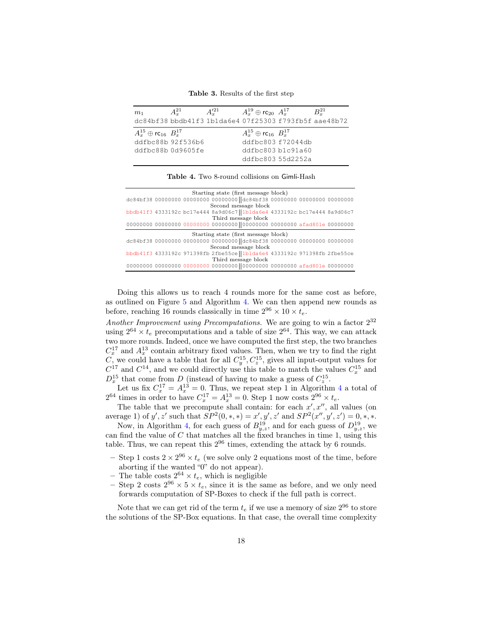Table 3. Results of the first step

<span id="page-17-0"></span>

| $m_1$                                       | $A_r^{21}$        | $A'^{21}_r$ | $A_x^{19} \oplus$ rc <sub>20</sub> $A_x^{17}$          |                  | $B_r^{21}$ |
|---------------------------------------------|-------------------|-------------|--------------------------------------------------------|------------------|------------|
|                                             |                   |             | dc84bf38.bbdb41f3.1b1da6e4.07f25303.f793fb5f.aae48b72. |                  |            |
| $A_x^{15} \oplus \text{rc}_{16}$ $B_x^{17}$ |                   |             | $A_x^{15} \oplus \text{rc}_{16}$ $B_x^{17}$            |                  |            |
|                                             | ddfbc88b 92f536b6 |             | ddfbc803 f72044db                                      |                  |            |
|                                             | ddfbc88b0d9605fe  |             |                                                        | ddfbc803b1c91a60 |            |
|                                             |                   |             | ddfbc803.55d2252a                                      |                  |            |

Table 4. Two 8-round collisions on Gimli-Hash

<span id="page-17-1"></span>

|                                                                           |  |  | Starting state (first message block) |  |  |
|---------------------------------------------------------------------------|--|--|--------------------------------------|--|--|
| dc84bf38 00000000 00000000 00000000  dc84bf38 00000000 00000000 00000000  |  |  |                                      |  |  |
|                                                                           |  |  | Second message block                 |  |  |
| bbdb41f3 4333192c bc17e444 8a9d06c7   1b1da6e4 4333192c bc17e444 8a9d06c7 |  |  |                                      |  |  |
|                                                                           |  |  | Third message block                  |  |  |
|                                                                           |  |  |                                      |  |  |
| Starting state (first message block)                                      |  |  |                                      |  |  |
|                                                                           |  |  |                                      |  |  |
|                                                                           |  |  |                                      |  |  |
| dc84bf38 00000000 00000000 00000000  dc84bf38 00000000 00000000 00000000  |  |  | Second message block                 |  |  |
| bbdb41f3 4333192c 971398fb 2fbe55ce  1b1da6e4 4333192c 971398fb 2fbe55ce  |  |  |                                      |  |  |
|                                                                           |  |  | Third message block                  |  |  |

Doing this allows us to reach 4 rounds more for the same cost as before, as outlined on Figure [5](#page-18-1) and Algorithm [4.](#page-19-0) We can then append new rounds as before, reaching 16 rounds classically in time  $2^{96} \times 10 \times t_e$ .

Another Improvement using Precomputations. We are going to win a factor  $2^{32}$ using  $2^{64} \times t_e$  precomputations and a table of size  $2^{64}$ . This way, we can attack two more rounds. Indeed, once we have computed the first step, the two branches  $C_x^{17}$  and  $A_x^{13}$  contain arbitrary fixed values. Then, when we try to find the right C, we could have a table that for all  $C_y^{15}$ ,  $C_z^{15}$ , gives all input-output values for  $C^{17}$  and  $C^{14}$ , and we could directly use this table to match the values  $C_x^{15}$  and  $D_x^{15}$  that come from D (instead of having to make a guess of  $C_z^{15}$ .

Let us fix  $C_x^{17} = A_x^{13} = 0$ . Thus, we repeat step 1 in Algorithm [4](#page-19-0) a total of  $2^{64}$  times in order to have  $C_x^{17} = A_x^{13} = 0$ . Step 1 now costs  $2^{96} \times t_e$ .

The table that we precompute shall contain: for each  $x', x''$ , all values (on average 1) of  $y', z'$  such that  $SP^2(0, *, *) = x', y', z'$  and  $SP^2(x'', y', z') = 0, *, *$ .

Now, in Algorithm [4,](#page-19-0) for each guess of  $B_{y,z}^{19}$ , and for each guess of  $D_{y,z}^{19}$ , we can find the value of  $C$  that matches all the fixed branches in time 1, using this table. Thus, we can repeat this  $2^{96}$  times, extending the attack by 6 rounds.

- Step 1 costs  $2 \times 2^{96} \times t_e$  (we solve only 2 equations most of the time, before aborting if the wanted "0" do not appear).
- The table costs  $2^{64} \times t_e$ , which is negligible
- Step 2 costs  $2^{96} \times 5 \times t_e$ , since it is the same as before, and we only need forwards computation of SP-Boxes to check if the full path is correct.

Note that we can get rid of the term  $t_e$  if we use a memory of size  $2^{96}$  to store the solutions of the SP-Box equations. In that case, the overall time complexity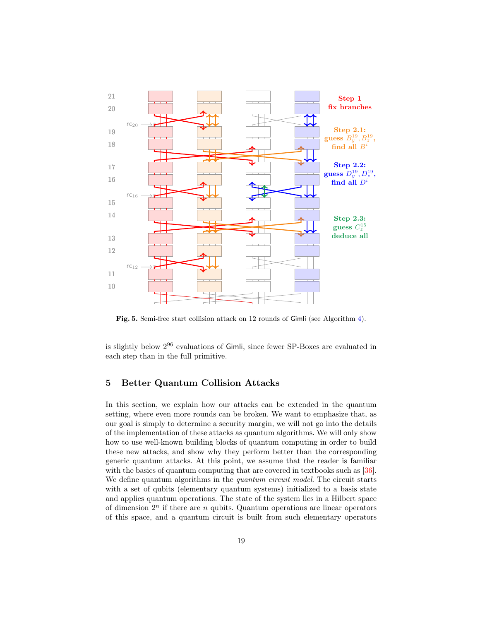

<span id="page-18-1"></span>Fig. 5. Semi-free start collision attack on 12 rounds of Gimli (see Algorithm [4\)](#page-19-0).

is slightly below 2 <sup>96</sup> evaluations of Gimli, since fewer SP-Boxes are evaluated in each step than in the full primitive.

## <span id="page-18-0"></span>5 Better Quantum Collision Attacks

In this section, we explain how our attacks can be extended in the quantum setting, where even more rounds can be broken. We want to emphasize that, as our goal is simply to determine a security margin, we will not go into the details of the implementation of these attacks as quantum algorithms. We will only show how to use well-known building blocks of quantum computing in order to build these new attacks, and show why they perform better than the corresponding generic quantum attacks. At this point, we assume that the reader is familiar with the basics of quantum computing that are covered in textbooks such as  $[36]$ . We define quantum algorithms in the *quantum circuit model*. The circuit starts with a set of qubits (elementary quantum systems) initialized to a basis state and applies quantum operations. The state of the system lies in a Hilbert space of dimension  $2<sup>n</sup>$  if there are *n* qubits. Quantum operations are linear operators of this space, and a quantum circuit is built from such elementary operators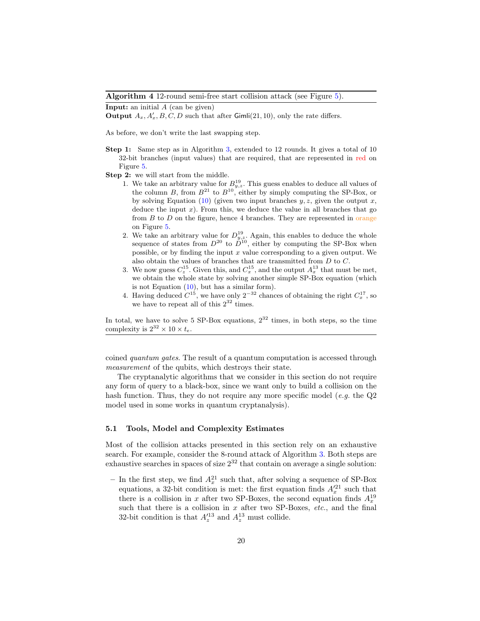Algorithm 4 12-round semi-free start collision attack (see Figure [5\)](#page-18-1).

**Input:** an initial  $A$  (can be given)

Output  $A_x$ ,  $A'_x$ ,  $B$ ,  $C$ ,  $D$  such that after Gimli(21, 10), only the rate differs.

As before, we don't write the last swapping step.

Step 1: Same step as in Algorithm [3,](#page-16-0) extended to 12 rounds. It gives a total of 10 32-bit branches (input values) that are required, that are represented in red on Figure [5.](#page-18-1)

Step 2: we will start from the middle.

- 1. We take an arbitrary value for  $B_{y,z}^{19}$ . This guess enables to deduce all values of the column B, from  $B^{21}$  to  $B^{10}$ , either by simply computing the SP-Box, or by solving Equation [\(10\)](#page-13-3) (given two input branches  $y, z$ , given the output  $x$ , deduce the input  $x$ ). From this, we deduce the value in all branches that go from  $B$  to  $D$  on the figure, hence 4 branches. They are represented in orange on Figure [5.](#page-18-1)
- 2. We take an arbitrary value for  $D_{y,z}^{19}$ . Again, this enables to deduce the whole sequence of states from  $D^{20}$  to  $\tilde{D}^{10}$ , either by computing the SP-Box when possible, or by finding the input  $x$  value corresponding to a given output. We also obtain the values of branches that are transmitted from  $D$  to  $C$ .
- 3. We now guess  $C_z^{15}$ . Given this, and  $C_x^{15}$ , and the output  $A_x^{13}$  that must be met, we obtain the whole state by solving another simple SP-Box equation (which is not Equation  $(10)$ , but has a similar form).
- 4. Having deduced  $C^{15}$ , we have only  $2^{-32}$  chances of obtaining the right  $C_x^{17}$ , so we have to repeat all of this  $2^{32}$  times.

<span id="page-19-0"></span>In total, we have to solve 5 SP-Box equations,  $2^{32}$  times, in both steps, so the time complexity is  $2^{32} \times 10 \times t_e$ .

coined quantum gates. The result of a quantum computation is accessed through measurement of the qubits, which destroys their state.

The cryptanalytic algorithms that we consider in this section do not require any form of query to a black-box, since we want only to build a collision on the hash function. Thus, they do not require any more specific model (e.g. the  $Q2$ model used in some works in quantum cryptanalysis).

#### 5.1 Tools, Model and Complexity Estimates

Most of the collision attacks presented in this section rely on an exhaustive search. For example, consider the 8-round attack of Algorithm [3.](#page-16-0) Both steps are exhaustive searches in spaces of size  $2^{32}$  that contain on average a single solution:

– In the first step, we find  $A_x^{21}$  such that, after solving a sequence of SP-Box equations, a 32-bit condition is met: the first equation finds  $A'^{21}_x$  such that there is a collision in x after two SP-Boxes, the second equation finds  $A_x^{19}$ such that there is a collision in  $x$  after two SP-Boxes, etc., and the final 32-bit condition is that  $A_z^{\prime 13}$  and  $A_z^{\prime 3}$  must collide.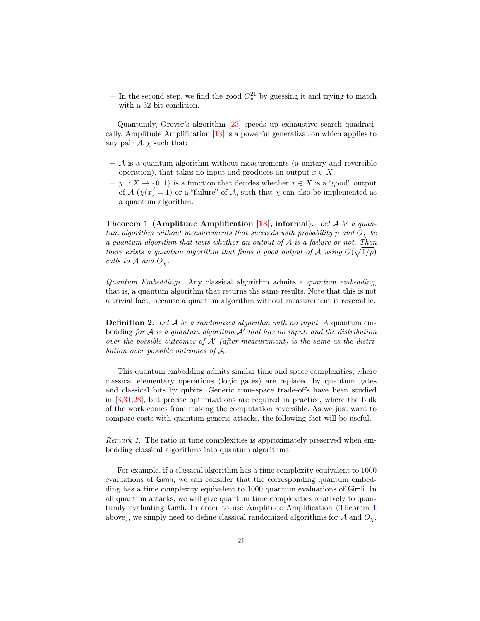– In the second step, we find the good  $C_x^{21}$  by guessing it and trying to match with a 32-bit condition.

Quantumly, Grover's algorithm [\[23\]](#page-34-7) speeds up exhaustive search quadratically. Amplitude Amplification [\[13\]](#page-33-9) is a powerful generalization which applies to any pair  $A, \chi$  such that:

- $-$  A is a quantum algorithm without measurements (a unitary and reversible operation), that takes no input and produces an output  $x \in X$ .
- $-\chi : X \to \{0,1\}$  is a function that decides whether  $x \in X$  is a "good" output of  $A(\chi(x) = 1)$  or a "failure" of A, such that  $\chi$  can also be implemented as a quantum algorithm.

<span id="page-20-0"></span>Theorem 1 (Amplitude Amplification [\[13\]](#page-33-9), informal). Let  $A$  be a quantum algorithm without measurements that succeeds with probability  $p$  and  $O_x$  be a quantum algorithm that tests whether an output of  $A$  is a failure or not. Then there exists a quantum algorithm that finds a good output of A using  $O(\sqrt{1/p})$ calls to A and  $O_{\chi}$ .

Quantum Embeddings. Any classical algorithm admits a quantum embedding, that is, a quantum algorithm that returns the same results. Note that this is not a trivial fact, because a quantum algorithm without measurement is reversible.

**Definition 2.** Let  $A$  be a randomized algorithm with no input. A quantum embedding for  $A$  is a quantum algorithm  $A'$  that has no input, and the distribution over the possible outcomes of  $A'$  (after measurement) is the same as the distribution over possible outcomes of  $A$ .

This quantum embedding admits similar time and space complexities, where classical elementary operations (logic gates) are replaced by quantum gates and classical bits by qubits. Generic time-space trade-offs have been studied in [\[3](#page-33-10)[,31](#page-34-8)[,28\]](#page-34-9), but precise optimizations are required in practice, where the bulk of the work comes from making the computation reversible. As we just want to compare costs with quantum generic attacks, the following fact will be useful.

Remark 1. The ratio in time complexities is approximately preserved when embedding classical algorithms into quantum algorithms.

For example, if a classical algorithm has a time complexity equivalent to 1000 evaluations of Gimli, we can consider that the corresponding quantum embedding has a time complexity equivalent to 1000 quantum evaluations of Gimli. In all quantum attacks, we will give quantum time complexities relatively to quantumly evaluating Gimli. In order to use Amplitude Amplification (Theorem [1](#page-20-0) above), we simply need to define classical randomized algorithms for  $A$  and  $O_{\chi}$ .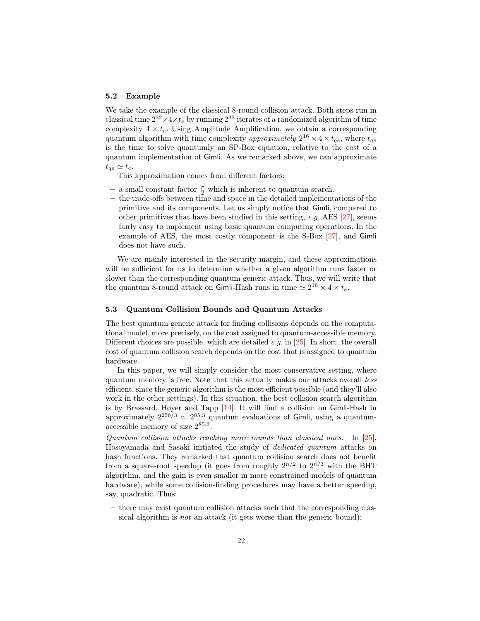#### 5.2 Example

We take the example of the classical 8-round collision attack. Both steps run in classical time  $2^{32} \times 4 \times t_e$  by running  $2^{32}$  iterates of a randomized algorithm of time complexity  $4 \times t_e$ . Using Amplitude Amplification, we obtain a corresponding quantum algorithm with time complexity *approximately*  $2^{16} \times 4 \times t_{qe}$ , where  $t_{qe}$ is the time to solve quantumly an SP-Box equation, relative to the cost of a quantum implementation of Gimli. As we remarked above, we can approximate  $t_{qe} \simeq t_e$ .

This approximation comes from different factors:

- a small constant factor  $\frac{\pi}{2}$  which is inherent to quantum search.
- the trade-offs between time and space in the detailed implementations of the primitive and its components. Let us simply notice that Gimli, compared to other primitives that have been studied in this setting, e.g. AES  $[27]$ , seems fairly easy to implement using basic quantum computing operations. In the example of AES, the most costly component is the S-Box [\[27\]](#page-34-10), and Gimli does not have such.

We are mainly interested in the security margin, and these approximations will be sufficient for us to determine whether a given algorithm runs faster or slower than the corresponding quantum generic attack. Thus, we will write that the quantum 8-round attack on Gimli-Hash runs in time  $\simeq 2^{16} \times 4 \times t_e$ .

#### 5.3 Quantum Collision Bounds and Quantum Attacks

The best quantum generic attack for finding collisions depends on the computational model, more precisely, on the cost assigned to quantum-accessible memory. Different choices are possible, which are detailed  $e.g.$  in [\[25\]](#page-34-2). In short, the overall cost of quantum collision search depends on the cost that is assigned to quantum hardware.

In this paper, we will simply consider the most conservative setting, where quantum memory is free. Note that this actually makes our attacks overall less efficient, since the generic algorithm is the most efficient possible (and they'll also work in the other settings). In this situation, the best collision search algorithm is by Brassard, Høyer and Tapp [\[14\]](#page-33-11). It will find a collision on Gimli-Hash in approximately  $2^{256/3} \simeq 2^{85.3}$  quantum evaluations of Gimli, using a quantumaccessible memory of size  $2^{85.3}$ .

Quantum collision attacks reaching more rounds than classical ones. In [\[25\]](#page-34-2), Hosoyamada and Sasaki initiated the study of dedicated quantum attacks on hash functions. They remarked that quantum collision search does not benefit from a square-root speedup (it goes from roughly  $2^{n/2}$  to  $2^{n/3}$  with the BHT algorithm, and the gain is even smaller in more constrained models of quantum hardware), while some collision-finding procedures may have a better speedup, say, quadratic. Thus:

– there may exist quantum collision attacks such that the corresponding classical algorithm is *not* an attack (it gets worse than the generic bound);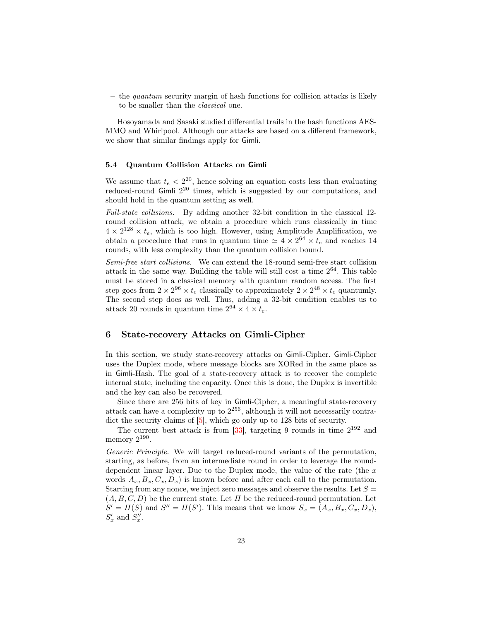– the quantum security margin of hash functions for collision attacks is likely to be smaller than the classical one.

Hosoyamada and Sasaki studied differential trails in the hash functions AES-MMO and Whirlpool. Although our attacks are based on a different framework, we show that similar findings apply for Gimli.

#### 5.4 Quantum Collision Attacks on Gimli

We assume that  $t_e < 2^{20}$ , hence solving an equation costs less than evaluating reduced-round Gimli  $2^{20}$  times, which is suggested by our computations, and should hold in the quantum setting as well.

Full-state collisions. By adding another 32-bit condition in the classical 12 round collision attack, we obtain a procedure which runs classically in time  $4 \times 2^{128} \times t_e$ , which is too high. However, using Amplitude Amplification, we obtain a procedure that runs in quantum time  $\simeq 4 \times 2^{64} \times t_e$  and reaches 14 rounds, with less complexity than the quantum collision bound.

Semi-free start collisions. We can extend the 18-round semi-free start collision attack in the same way. Building the table will still cost a time  $2^{64}$ . This table must be stored in a classical memory with quantum random access. The first step goes from  $2 \times 2^{96} \times t_e$  classically to approximately  $2 \times 2^{48} \times t_e$  quantumly. The second step does as well. Thus, adding a 32-bit condition enables us to attack 20 rounds in quantum time  $2^{64} \times 4 \times t_e$ .

## <span id="page-22-0"></span>6 State-recovery Attacks on Gimli-Cipher

In this section, we study state-recovery attacks on Gimli-Cipher. Gimli-Cipher uses the Duplex mode, where message blocks are XORed in the same place as in Gimli-Hash. The goal of a state-recovery attack is to recover the complete internal state, including the capacity. Once this is done, the Duplex is invertible and the key can also be recovered.

Since there are 256 bits of key in Gimli-Cipher, a meaningful state-recovery attack can have a complexity up to  $2^{256}$ , although it will not necessarily contradict the security claims of [\[5\]](#page-33-1), which go only up to 128 bits of security.

The current best attack is from  $[33]$ , targeting 9 rounds in time  $2^{192}$  and memory  $2^{190}$ .

Generic Principle. We will target reduced-round variants of the permutation, starting, as before, from an intermediate round in order to leverage the rounddependent linear layer. Due to the Duplex mode, the value of the rate (the  $x$ words  $A_x, B_x, C_x, D_x$  is known before and after each call to the permutation. Starting from any nonce, we inject zero messages and observe the results. Let  $S =$  $(A, B, C, D)$  be the current state. Let  $\Pi$  be the reduced-round permutation. Let  $S' = \Pi(S)$  and  $S'' = \Pi(S')$ . This means that we know  $S_x = (A_x, B_x, C_x, D_x)$ ,  $S'_x$  and  $S''_x$ .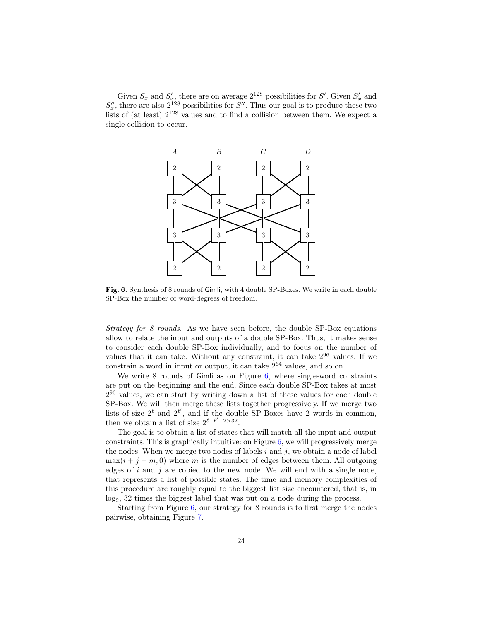Given  $S_x$  and  $S'_x$ , there are on average  $2^{128}$  possibilities for  $S'$ . Given  $S'_x$  and  $S''_x$ , there are also  $2^{128}$  possibilities for  $S''$ . Thus our goal is to produce these two lists of (at least) 2 <sup>128</sup> values and to find a collision between them. We expect a single collision to occur.



<span id="page-23-0"></span>Fig. 6. Synthesis of 8 rounds of Gimli, with 4 double SP-Boxes. We write in each double SP-Box the number of word-degrees of freedom.

Strategy for 8 rounds. As we have seen before, the double SP-Box equations allow to relate the input and outputs of a double SP-Box. Thus, it makes sense to consider each double SP-Box individually, and to focus on the number of values that it can take. Without any constraint, it can take 2 <sup>96</sup> values. If we constrain a word in input or output, it can take  $2^{64}$  values, and so on.

We write 8 rounds of Gimli as on Figure [6,](#page-23-0) where single-word constraints are put on the beginning and the end. Since each double SP-Box takes at most  $2^{96}$  values, we can start by writing down a list of these values for each double SP-Box. We will then merge these lists together progressively. If we merge two lists of size  $2^{\ell}$  and  $2^{\ell'}$ , and if the double SP-Boxes have 2 words in common, then we obtain a list of size  $2^{\ell+\ell'-2\times32}$ .

The goal is to obtain a list of states that will match all the input and output constraints. This is graphically intuitive: on Figure [6,](#page-23-0) we will progressively merge the nodes. When we merge two nodes of labels  $i$  and  $j$ , we obtain a node of label  $\max(i + j - m, 0)$  where m is the number of edges between them. All outgoing edges of  $i$  and  $j$  are copied to the new node. We will end with a single node, that represents a list of possible states. The time and memory complexities of this procedure are roughly equal to the biggest list size encountered, that is, in log<sub>2</sub>, 32 times the biggest label that was put on a node during the process.

Starting from Figure [6,](#page-23-0) our strategy for 8 rounds is to first merge the nodes pairwise, obtaining Figure [7.](#page-24-2)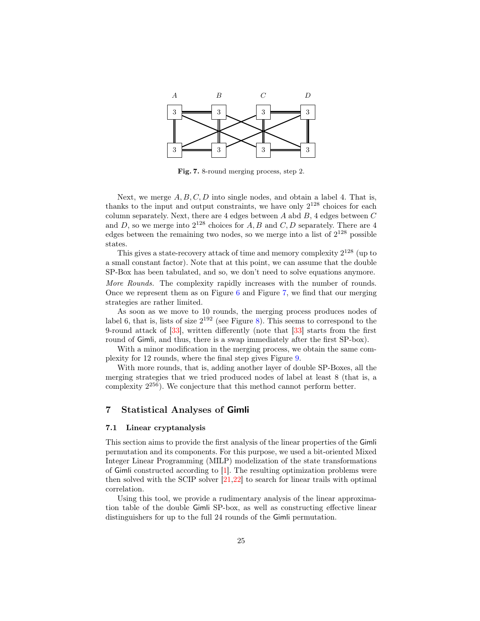

Fig. 7. 8-round merging process, step 2.

<span id="page-24-2"></span>Next, we merge  $A, B, C, D$  into single nodes, and obtain a label 4. That is, thanks to the input and output constraints, we have only  $2^{128}$  choices for each column separately. Next, there are 4 edges between  $A$  abd  $B$ , 4 edges between  $C$ and D, so we merge into  $2^{128}$  choices for A, B and C, D separately. There are 4 edges between the remaining two nodes, so we merge into a list of 2 <sup>128</sup> possible states.

This gives a state-recovery attack of time and memory complexity  $2^{128}$  (up to a small constant factor). Note that at this point, we can assume that the double SP-Box has been tabulated, and so, we don't need to solve equations anymore. More Rounds. The complexity rapidly increases with the number of rounds. Once we represent them as on Figure [6](#page-23-0) and Figure [7,](#page-24-2) we find that our merging strategies are rather limited.

As soon as we move to 10 rounds, the merging process produces nodes of label 6, that is, lists of size  $2^{192}$  (see Figure [8\)](#page-25-0). This seems to correspond to the 9-round attack of [\[33\]](#page-35-2), written differently (note that [\[33\]](#page-35-2) starts from the first round of Gimli, and thus, there is a swap immediately after the first SP-box).

With a minor modification in the merging process, we obtain the same complexity for 12 rounds, where the final step gives Figure [9.](#page-26-0)

With more rounds, that is, adding another layer of double SP-Boxes, all the merging strategies that we tried produced nodes of label at least 8 (that is, a complexity 2 <sup>256</sup>). We conjecture that this method cannot perform better.

## <span id="page-24-0"></span>7 Statistical Analyses of Gimli

#### <span id="page-24-1"></span>7.1 Linear cryptanalysis

This section aims to provide the first analysis of the linear properties of the Gimli permutation and its components. For this purpose, we used a bit-oriented Mixed Integer Linear Programming (MILP) modelization of the state transformations of Gimli constructed according to [\[1\]](#page-32-0). The resulting optimization problems were then solved with the SCIP solver [\[21,](#page-34-11)[22\]](#page-34-12) to search for linear trails with optimal correlation.

Using this tool, we provide a rudimentary analysis of the linear approximation table of the double Gimli SP-box, as well as constructing effective linear distinguishers for up to the full 24 rounds of the Gimli permutation.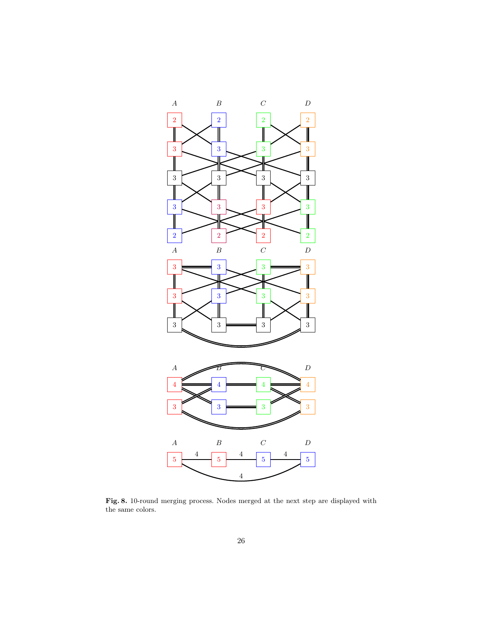

<span id="page-25-0"></span>Fig. 8. 10-round merging process. Nodes merged at the next step are displayed with the same colors.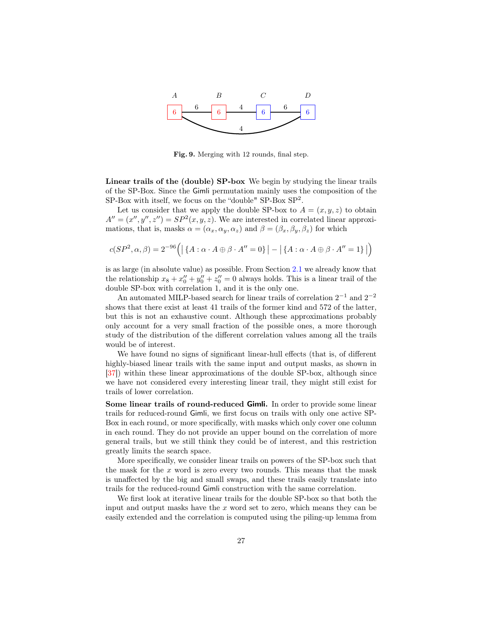

Fig. 9. Merging with 12 rounds, final step.

<span id="page-26-0"></span>Linear trails of the (double) SP-box We begin by studying the linear trails of the SP-Box. Since the Gimli permutation mainly uses the composition of the SP-Box with itself, we focus on the "double" SP-Box  $SP<sup>2</sup>$ .

Let us consider that we apply the double SP-box to  $A = (x, y, z)$  to obtain  $A'' = (x'', y'', z'') = SP^2(x, y, z)$ . We are interested in correlated linear approximations, that is, masks  $\alpha = (\alpha_x, \alpha_y, \alpha_z)$  and  $\beta = (\beta_x, \beta_y, \beta_z)$  for which

$$
c(SP^2, \alpha, \beta) = 2^{-96} \Big( \big| \left\{ A : \alpha \cdot A \oplus \beta \cdot A'' = 0 \right\} \big| - \big| \left\{ A : \alpha \cdot A \oplus \beta \cdot A'' = 1 \right\} \big| \Big)
$$

is as large (in absolute value) as possible. From Section [2.1](#page-5-3) we already know that the relationship  $x_8 + x''_0 + y''_0 + z''_0 = 0$  always holds. This is a linear trail of the double SP-box with correlation 1, and it is the only one.

An automated MILP-based search for linear trails of correlation  $2^{-1}$  and  $2^{-2}$ shows that there exist at least 41 trails of the former kind and 572 of the latter, but this is not an exhaustive count. Although these approximations probably only account for a very small fraction of the possible ones, a more thorough study of the distribution of the different correlation values among all the trails would be of interest.

We have found no signs of significant linear-hull effects (that is, of different highly-biased linear trails with the same input and output masks, as shown in [\[37\]](#page-35-6)) within these linear approximations of the double SP-box, although since we have not considered every interesting linear trail, they might still exist for trails of lower correlation.

Some linear trails of round-reduced Gimli. In order to provide some linear trails for reduced-round Gimli, we first focus on trails with only one active SP-Box in each round, or more specifically, with masks which only cover one column in each round. They do not provide an upper bound on the correlation of more general trails, but we still think they could be of interest, and this restriction greatly limits the search space.

More specifically, we consider linear trails on powers of the SP-box such that the mask for the  $x$  word is zero every two rounds. This means that the mask is unaffected by the big and small swaps, and these trails easily translate into trails for the reduced-round Gimli construction with the same correlation.

We first look at iterative linear trails for the double SP-box so that both the input and output masks have the  $x$  word set to zero, which means they can be easily extended and the correlation is computed using the piling-up lemma from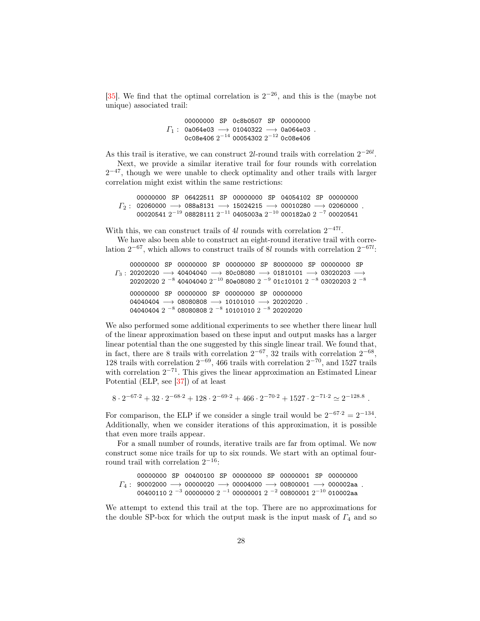[\[35\]](#page-35-7). We find that the optimal correlation is  $2^{-26}$ , and this is the (maybe not unique) associated trail:

> $\Gamma_1$ : 0a064e03 00000000 SP 0c8b0507 SP 00000000 0c08e406 −→ → 01040322<br> $2^{-14}$  00054302 00054302 −→  $\longrightarrow$  0a064e03<br>2<sup>−12</sup> 0c08e406 0c08e406 .

As this trail is iterative, we can construct 2l-round trails with correlation  $2^{-26l}$ .

Next, we provide a similar iterative trail for four rounds with correlation  $2^{-47}$ , though we were unable to check optimality and other trails with larger correlation might exist within the same restrictions:

 $\varGamma_2:$  02060000  $\longrightarrow$  088a8131  $\longrightarrow$  15024215  $\longrightarrow$  00010280  $\longrightarrow$  02060000 . 00000000 SP 06422511 SP 00000000 SP 04054102 SP 00000000 00020541  $2^{-19}$  08828111  $2^{-11}$  0405003a  $2^{-10}$  000182a0  $2$   $^{-7}$  00020541

With this, we can construct trails of 4l rounds with correlation  $2^{-47l}$ .

We have also been able to construct an eight-round iterative trail with correlation  $2^{-67}$ , which allows to construct trails of 8l rounds with correlation  $2^{-67}$ :

```
\varGamma_3: 20202020 \longrightarrow 40404040 \longrightarrow 80{\rm c}08080 \longrightarrow 01810101 \longrightarrow 03020203 \longrightarrow00000000
SP
00000000
SP
00000000
SP
80000000
SP
00000000
SP
     20202020 2 ^{-8} 40404040 2^{-10} 80e08080 2 ^{-9} 01c10101 2 ^{-8} 03020203 2 ^{-8}00000000
SP
00000000
SP
00000000
SP
00000000
     04040404 \longrightarrow 08080808 \longrightarrow 10101010 \longrightarrow 20202020.
     04040404 2^{-8} 08080808 2^{-8} 10101010 2^{-8} 20202020
```
We also performed some additional experiments to see whether there linear hull of the linear approximation based on these input and output masks has a larger linear potential than the one suggested by this single linear trail. We found that, in fact, there are 8 trails with correlation  $2^{-67}$ , 32 trails with correlation  $2^{-68}$ , 128 trails with correlation  $2^{-69}$ , 466 trails with correlation  $2^{-70}$ , and 1527 trails with correlation  $2^{-71}$ . This gives the linear approximation an Estimated Linear Potential (ELP, see [\[37\]](#page-35-6)) of at least

 $8 \cdot 2^{-67 \cdot 2} + 32 \cdot 2^{-68 \cdot 2} + 128 \cdot 2^{-69 \cdot 2} + 466 \cdot 2^{-70 \cdot 2} + 1527 \cdot 2^{-71 \cdot 2} \simeq 2^{-128.8}$ .

For comparison, the ELP if we consider a single trail would be  $2^{-67.2} = 2^{-134}$ . Additionally, when we consider iterations of this approximation, it is possible that even more trails appear.

For a small number of rounds, iterative trails are far from optimal. We now construct some nice trails for up to six rounds. We start with an optimal fourround trail with correlation  $2^{-16}$ :

 $\Gamma_4$ : 90002000 00000000 SP 00400100 SP 00000000 SP 00000001 SP 00000000 00400110 −→ → 00000020<br> $2^{-3}$  00000000 00000000 −→ → 00004000<br>2<sup>-1</sup> 00000001 00000001 −→  $\longrightarrow 00800001$ <br>2<sup>-2</sup> 00800001 00800001 −→  $→ 000002$ aa<br> $2^{-10}$ 010002aa 010002aa

.

We attempt to extend this trail at the top. There are no approximations for the double SP-box for which the output mask is the input mask of  $\Gamma_4$  and so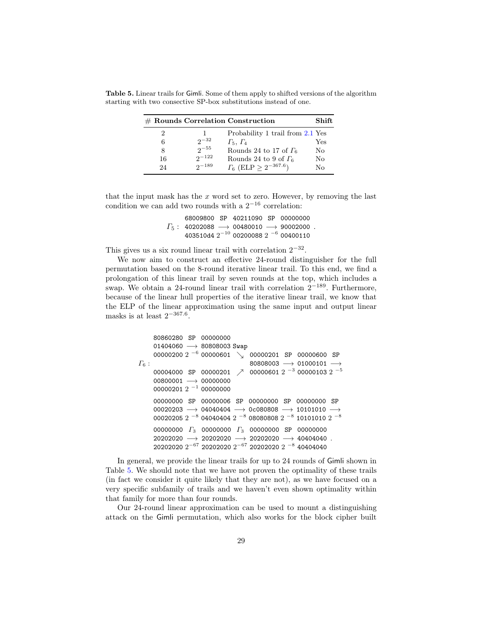|    |            | $#$ Rounds Correlation Construction | <b>Shift</b> |
|----|------------|-------------------------------------|--------------|
| 2  |            | Probability 1 trail from 2.1 Yes    |              |
| 6  | $2^{-32}$  | $\Gamma_5, \Gamma_4$                | Yes          |
| 8  | $2^{-55}$  | Rounds 24 to 17 of $\Gamma_6$       | No           |
| 16 | $2^{-122}$ | Rounds 24 to 9 of $\Gamma_6$        | No           |
| 24 | $2^{-189}$ | $\Gamma_6$ (ELP > $2^{-367.6}$ )    | Nο           |

<span id="page-28-0"></span>Table 5. Linear trails for Gimli. Some of them apply to shifted versions of the algorithm starting with two consective SP-box substitutions instead of one.

that the input mask has the  $x$  word set to zero. However, by removing the last condition we can add two rounds with a  $2^{-16}$  correlation:

> $\varGamma_5:$  40202088  $\longrightarrow$  00480010  $\longrightarrow$  90002000 . 68009800 SP 40211090 SP 00000000  $403510d4$   $2^{-10}$  00200088  $2^{-6}$  00400110

This gives us a six round linear trail with correlation  $2^{-32}$ .

We now aim to construct an effective 24-round distinguisher for the full permutation based on the 8-round iterative linear trail. To this end, we find a prolongation of this linear trail by seven rounds at the top, which includes a swap. We obtain a 24-round linear trail with correlation  $2^{-189}$ . Furthermore, because of the linear hull properties of the iterative linear trail, we know that the ELP of the linear approximation using the same input and output linear masks is at least  $2^{-367.6}$ .

```
\Gamma_6:
     80860280
SP
00000000
     01404060 \longrightarrow 80808003 Swap
     00000200 2 ^{-6} 00000601 \searrow00004000
SP
00000201
↗
     00800001 \longrightarrow 00000000000000201 2^{-1} 00000000
                                        00000201
SP
00000600
SP
                                        80808003
−→
01000101
−→
                                        00000601 2^{-3} 00000103 2^{-5}00000000
SP
00000006
SP
00000000
SP
00000000
SP
     00020203 \longrightarrow 04040404 \longrightarrow 0c080808 \longrightarrow 10101010 \longrightarrow00020205 2 ^{-8} 04040404 2 ^{-8} 08080808 2 ^{-8} 10101010 2 ^{-8}00000000 \Gamma_3 0000000 \Gamma_3 00000000 SP 00000000
     20202020 \longrightarrow 20202020 \longrightarrow 20202020 \longrightarrow 4040404020202020\ 2^{-67} 20202020\ 2^{-67} 20202020\ 2^{-8} 40404040
                                                                      .
```
In general, we provide the linear trails for up to 24 rounds of Gimli shown in Table [5.](#page-28-0) We should note that we have not proven the optimality of these trails (in fact we consider it quite likely that they are not), as we have focused on a very specific subfamily of trails and we haven't even shown optimality within that family for more than four rounds.

Our 24-round linear approximation can be used to mount a distinguishing attack on the Gimli permutation, which also works for the block cipher built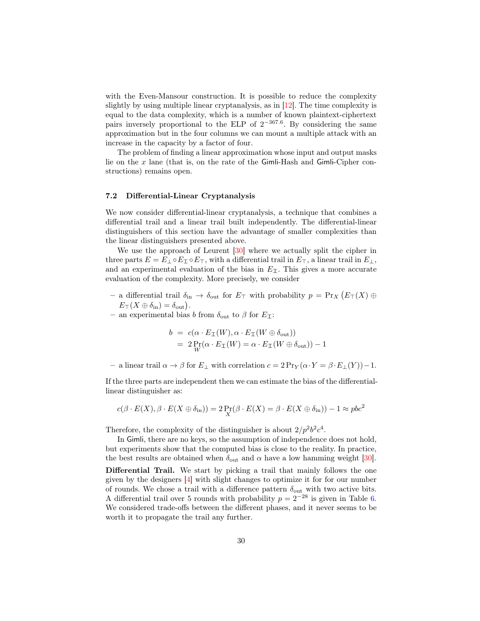with the Even-Mansour construction. It is possible to reduce the complexity slightly by using multiple linear cryptanalysis, as in [\[12\]](#page-33-12). The time complexity is equal to the data complexity, which is a number of known plaintext-ciphertext pairs inversely proportional to the ELP of  $2^{-367.6}$ . By considering the same approximation but in the four columns we can mount a multiple attack with an increase in the capacity by a factor of four.

The problem of finding a linear approximation whose input and output masks lie on the  $x$  lane (that is, on the rate of the Gimli-Hash and Gimli-Cipher constructions) remains open.

#### <span id="page-29-0"></span>7.2 Differential-Linear Cryptanalysis

We now consider differential-linear cryptanalysis, a technique that combines a differential trail and a linear trail built independently. The differential-linear distinguishers of this section have the advantage of smaller complexities than the linear distinguishers presented above.

We use the approach of Leurent  $[30]$  where we actually split the cipher in three parts  $E = E_{\perp} \circ E_{\perp} \circ E_{\top}$ , with a differential trail in  $E_{\perp}$ , a linear trail in  $E_{\perp}$ , and an experimental evaluation of the bias in  $E$ <sub>⊥</sub>. This gives a more accurate evaluation of the complexity. More precisely, we consider

- a differential trail  $\delta_{\text{in}} \to \delta_{\text{out}}$  for  $E_{\top}$  with probability  $p = \Pr_X(E_{\top}(X) \oplus$  $E_{\top}(X \oplus \delta_{\text{in}}) = \delta_{\text{out}}).$
- an experimental bias *b* from  $\delta_{\text{out}}$  to  $\beta$  for  $E_{\text{T}}$ :

$$
b = c(\alpha \cdot E_{\mathcal{I}}(W), \alpha \cdot E_{\mathcal{I}}(W \oplus \delta_{\text{out}}))
$$
  
= 2 Pr( $\alpha \cdot E_{\mathcal{I}}(W) = \alpha \cdot E_{\mathcal{I}}(W \oplus \delta_{\text{out}})) - 1$ 

– a linear trail  $\alpha \to \beta$  for  $E_{\perp}$  with correlation  $c = 2 Pr_Y(\alpha \cdot Y = \beta \cdot E_{\perp}(Y)) - 1$ .

If the three parts are independent then we can estimate the bias of the differentiallinear distinguisher as:

$$
c(\beta \cdot E(X), \beta \cdot E(X \oplus \delta_{\text{in}})) = 2 \Pr_X(\beta \cdot E(X) = \beta \cdot E(X \oplus \delta_{\text{in}})) - 1 \approx pbc^2
$$

Therefore, the complexity of the distinguisher is about  $2/p^2b^2c^4$ .

In Gimli, there are no keys, so the assumption of independence does not hold, but experiments show that the computed bias is close to the reality. In practice, the best results are obtained when  $\delta_{\text{out}}$  and  $\alpha$  have a low hamming weight [\[30\]](#page-34-13).

Differential Trail. We start by picking a trail that mainly follows the one given by the designers [\[4\]](#page-33-0) with slight changes to optimize it for for our number of rounds. We chose a trail with a difference pattern  $\delta_{\text{out}}$  with two active bits. A differential trail over 5 rounds with probability  $p = 2^{-28}$  is given in Table [6.](#page-30-0) We considered trade-offs between the different phases, and it never seems to be worth it to propagate the trail any further.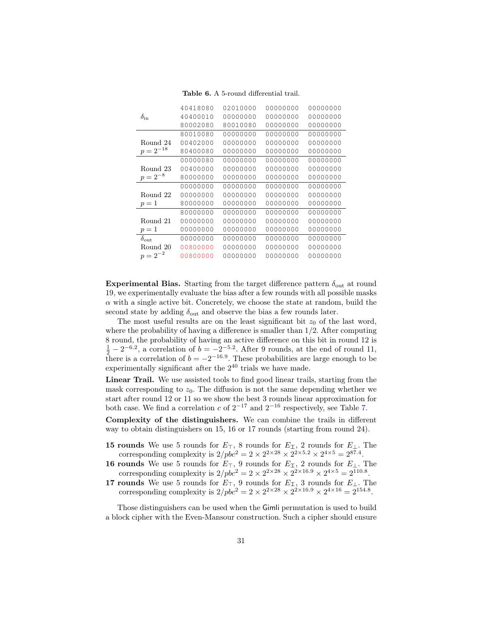Table 6. A 5-round differential trail.

<span id="page-30-0"></span>

|                    | 40418080 | 02010000 | 00000000 | 00000000 |
|--------------------|----------|----------|----------|----------|
| $\delta_{\rm in}$  | 40400010 | 00000000 | 00000000 | 00000000 |
|                    | 80002080 | 80010080 | 00000000 | 00000000 |
|                    | 80010080 | 00000000 | 00000000 | 00000000 |
| Round 24           | 00402000 | 00000000 | 00000000 | 00000000 |
| $p = 2^{-18}$      | 80400080 | 00000000 | 00000000 | 00000000 |
|                    | 00000080 | 00000000 | 00000000 | 00000000 |
| Round 23           | 00400000 | 00000000 | 00000000 | 00000000 |
| $p = 2^{-8}$       | 80000000 | 00000000 | 00000000 | 00000000 |
|                    | 00000000 | 00000000 | 00000000 | 00000000 |
| Round 22           | 00000000 | 00000000 | 00000000 | 00000000 |
| $p=1$              | 80000000 | 00000000 | 00000000 | 00000000 |
|                    | 80000000 | 00000000 | 00000000 | 00000000 |
| Round 21           | 00000000 | 00000000 | 00000000 | 00000000 |
| $p=1$              | 00000000 | 00000000 | 00000000 | 00000000 |
| $\delta_{\rm out}$ | 00000000 | 00000000 | 00000000 | 00000000 |
| Round 20           | 00800000 | 00000000 | 00000000 | 00000000 |
| $p = 2^{-2}$       | 00800000 | 00000000 | 00000000 | 00000000 |

**Experimental Bias.** Starting from the target difference pattern  $\delta_{\text{out}}$  at round 19, we experimentally evaluate the bias after a few rounds with all possible masks  $\alpha$  with a single active bit. Concretely, we choose the state at random, build the second state by adding  $\delta_{\text{out}}$  and observe the bias a few rounds later.

The most useful results are on the least significant bit  $z_0$  of the last word, where the probability of having a difference is smaller than  $1/2$ . After computing 8 round, the probability of having an active difference on this bit in round 12 is  $\frac{1}{2} - 2^{-6.2}$ , a correlation of  $b = -2^{-5.2}$ . After 9 rounds, at the end of round 11, there is a correlation of  $b = -2^{-16.9}$ . These probabilities are large enough to be experimentally significant after the  $2^{40}$  trials we have made.

Linear Trail. We use assisted tools to find good linear trails, starting from the mask corresponding to  $z_0$ . The diffusion is not the same depending whether we start after round 12 or 11 so we show the best 3 rounds linear approximation for both case. We find a correlation  $c$  of  $2^{-17}$  and  $2^{-16}$  respectively, see Table [7.](#page-31-1)

Complexity of the distinguishers. We can combine the trails in different way to obtain distinguishers on 15, 16 or 17 rounds (starting from round 24).

- **15 rounds** We use 5 rounds for  $E_{\top}$ , 8 rounds for  $E_{\top}$ , 2 rounds for  $E_{\bot}$ . The corresponding complexity is  $2/pbc^2 = 2 \times 2^{2 \times 28} \times 2^{2 \times 5.2} \times 2^{4 \times 5} = 2^{87.4}$ .
- **16 rounds** We use 5 rounds for  $E_{\top}$ , 9 rounds for  $E_{\top}$ , 2 rounds for  $E_{\bot}$ . The corresponding complexity is  $2/pbc^2 = 2 \times 2^{2 \times 28} \times 2^{2 \times 16.9} \times 2^{4 \times 5} = 2^{110.8}$ .
- 17 rounds We use 5 rounds for  $E_{\top}$ , 9 rounds for  $E_{\bot}$ , 3 rounds for  $E_{\bot}$ . The corresponding complexity is  $2/pbc^2 = 2 \times 2^{2 \times 28} \times 2^{2 \times 16.9} \times 2^{4 \times 16} = 2^{154.8}$ .

Those distinguishers can be used when the Gimli permutation is used to build a block cipher with the Even-Mansour construction. Such a cipher should ensure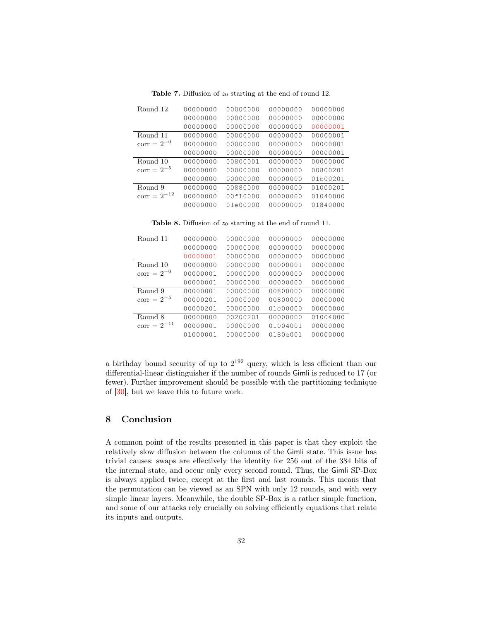**Table 7.** Diffusion of  $z_0$  starting at the end of round 12.

<span id="page-31-1"></span>

| Round 12         | 00000000 | 00000000 | 00000000 | 00000000 |
|------------------|----------|----------|----------|----------|
|                  | 00000000 | 00000000 | 00000000 | 00000000 |
|                  | 00000000 | 00000000 | 00000000 | 00000001 |
| Round 11         | 00000000 | 00000000 | 00000000 | 00000001 |
| $corr = 2^{-0}$  | 00000000 | 00000000 | 00000000 | 00000001 |
|                  | 00000000 | 00000000 | 00000000 | 00000001 |
| Round 10         | 00000000 | 00800001 | 00000000 | 00000000 |
| $corr = 2^{-5}$  | 00000000 | 00000000 | 00000000 | 00800201 |
|                  | 00000000 | 00000000 | 00000000 | 01c00201 |
| Round 9          | 00000000 | 00880000 | 00000000 | 01000201 |
| $corr = 2^{-12}$ | 00000000 | 00f10000 | 00000000 | 01040000 |
|                  | 00000000 | 01e00000 | 00000000 | 01840000 |

**Table 8.** Diffusion of  $z_0$  starting at the end of round 11.

| Round 11         | 00000000 | 00000000 | 00000000 | 00000000 |
|------------------|----------|----------|----------|----------|
|                  | 00000000 | 00000000 | 00000000 | 00000000 |
|                  | 00000001 | 00000000 | 00000000 | 00000000 |
| Round 10         | 00000000 | 00000000 | 00000001 | 00000000 |
| $corr = 2^{-0}$  | 00000001 | 00000000 | 00000000 | 00000000 |
|                  | 00000001 | 00000000 | 00000000 | 00000000 |
| Round 9          | 00000001 | 00000000 | 00800000 | 00000000 |
| $corr = 2^{-5}$  | 00000201 | 00000000 | 00800000 | 00000000 |
|                  | 00000201 | 00000000 | 01c00000 | 00000000 |
| Round 8          | 00000000 | 00200201 | 00000000 | 01004000 |
| $corr = 2^{-11}$ | 00000001 | 00000000 | 01004001 | 00000000 |
|                  | 01000001 | 00000000 | 0180e001 | 00000000 |
|                  |          |          |          |          |

a birthday bound security of up to  $2^{192}$  query, which is less efficient than our differential-linear distinguisher if the number of rounds Gimli is reduced to 17 (or fewer). Further improvement should be possible with the partitioning technique of [\[30\]](#page-34-13), but we leave this to future work.

## <span id="page-31-0"></span>8 Conclusion

A common point of the results presented in this paper is that they exploit the relatively slow diffusion between the columns of the Gimli state. This issue has trivial causes: swaps are effectively the identity for 256 out of the 384 bits of the internal state, and occur only every second round. Thus, the Gimli SP-Box is always applied twice, except at the first and last rounds. This means that the permutation can be viewed as an SPN with only 12 rounds, and with very simple linear layers. Meanwhile, the double SP-Box is a rather simple function, and some of our attacks rely crucially on solving efficiently equations that relate its inputs and outputs.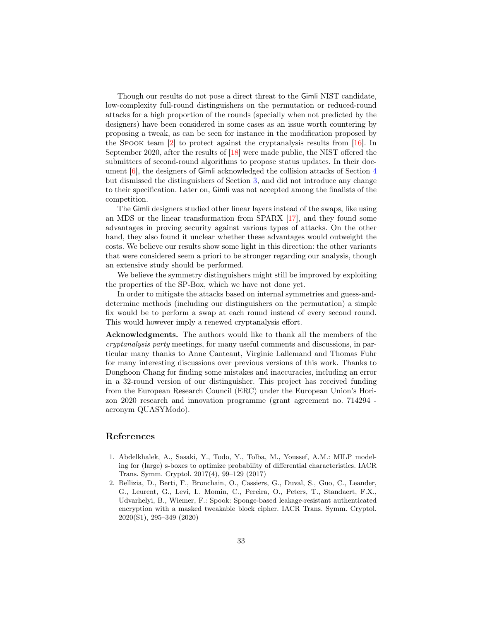Though our results do not pose a direct threat to the Gimli NIST candidate, low-complexity full-round distinguishers on the permutation or reduced-round attacks for a high proportion of the rounds (specially when not predicted by the designers) have been considered in some cases as an issue worth countering by proposing a tweak, as can be seen for instance in the modification proposed by the Spook team [\[2\]](#page-32-1) to protect against the cryptanalysis results from [\[16\]](#page-33-7). In September 2020, after the results of [\[18\]](#page-34-0) were made public, the NIST offered the submitters of second-round algorithms to propose status updates. In their document [\[6\]](#page-33-13), the designers of Gimli acknowledged the collision attacks of Section [4](#page-12-0) but dismissed the distinguishers of Section [3,](#page-8-0) and did not introduce any change to their specification. Later on, Gimli was not accepted among the finalists of the competition.

The Gimli designers studied other linear layers instead of the swaps, like using an MDS or the linear transformation from SPARX [\[17\]](#page-33-14), and they found some advantages in proving security against various types of attacks. On the other hand, they also found it unclear whether these advantages would outweight the costs. We believe our results show some light in this direction: the other variants that were considered seem a priori to be stronger regarding our analysis, though an extensive study should be performed.

We believe the symmetry distinguishers might still be improved by exploiting the properties of the SP-Box, which we have not done yet.

In order to mitigate the attacks based on internal symmetries and guess-anddetermine methods (including our distinguishers on the permutation) a simple fix would be to perform a swap at each round instead of every second round. This would however imply a renewed cryptanalysis effort.

Acknowledgments. The authors would like to thank all the members of the cryptanalysis party meetings, for many useful comments and discussions, in particular many thanks to Anne Canteaut, Virginie Lallemand and Thomas Fuhr for many interesting discussions over previous versions of this work. Thanks to Donghoon Chang for finding some mistakes and inaccuracies, including an error in a 32-round version of our distinguisher. This project has received funding from the European Research Council (ERC) under the European Union's Horizon 2020 research and innovation programme (grant agreement no. 714294 acronym QUASYModo).

## References

- <span id="page-32-0"></span>1. Abdelkhalek, A., Sasaki, Y., Todo, Y., Tolba, M., Youssef, A.M.: MILP modeling for (large) s-boxes to optimize probability of differential characteristics. IACR Trans. Symm. Cryptol. 2017(4), 99–129 (2017)
- <span id="page-32-1"></span>2. Bellizia, D., Berti, F., Bronchain, O., Cassiers, G., Duval, S., Guo, C., Leander, G., Leurent, G., Levi, I., Momin, C., Pereira, O., Peters, T., Standaert, F.X., Udvarhelyi, B., Wiemer, F.: Spook: Sponge-based leakage-resistant authenticated encryption with a masked tweakable block cipher. IACR Trans. Symm. Cryptol. 2020(S1), 295–349 (2020)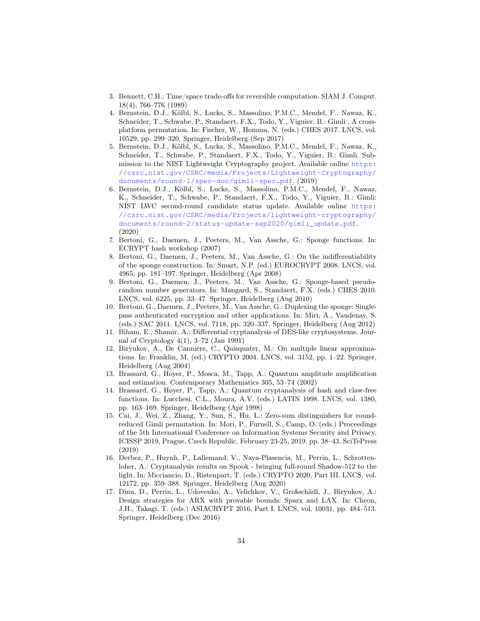- <span id="page-33-10"></span>3. Bennett, C.H.: Time/space trade-offs for reversible computation. SIAM J. Comput. 18(4), 766–776 (1989)
- <span id="page-33-0"></span>4. Bernstein, D.J., Kölbl, S., Lucks, S., Massolino, P.M.C., Mendel, F., Nawaz, K., Schneider, T., Schwabe, P., Standaert, F.X., Todo, Y., Viguier, B.: Gimli : A crossplatform permutation. In: Fischer, W., Homma, N. (eds.) CHES 2017. LNCS, vol. 10529, pp. 299–320. Springer, Heidelberg (Sep 2017)
- <span id="page-33-1"></span>5. Bernstein, D.J., Kölbl, S., Lucks, S., Massolino, P.M.C., Mendel, F., Nawaz, K., Schneider, T., Schwabe, P., Standaert, F.X., Todo, Y., Viguier, B.: Gimli. Submission to the NIST Lightweight Cryptography project. Available online [https:](https://csrc.nist.gov/CSRC/media/Projects/Lightweight-Cryptography/documents/round-1/spec-doc/gimli-spec.pdf) [//csrc.nist.gov/CSRC/media/Projects/Lightweight-Cryptography/](https://csrc.nist.gov/CSRC/media/Projects/Lightweight-Cryptography/documents/round-1/spec-doc/gimli-spec.pdf) [documents/round-1/spec-doc/gimli-spec.pdf](https://csrc.nist.gov/CSRC/media/Projects/Lightweight-Cryptography/documents/round-1/spec-doc/gimli-spec.pdf). (2019)
- <span id="page-33-13"></span>6. Bernstein, D.J., Kölbl, S., Lucks, S., Massolino, P.M.C., Mendel, F., Nawaz, K., Schneider, T., Schwabe, P., Standaert, F.X., Todo, Y., Viguier, B.: Gimli: NIST LWC second-round candidate status update. Available online [https:](https://csrc.nist.gov/CSRC/media/Projects/lightweight-cryptography/documents/round-2/status-update-sep2020/gimli_update.pdf) [//csrc.nist.gov/CSRC/media/Projects/lightweight-cryptography/](https://csrc.nist.gov/CSRC/media/Projects/lightweight-cryptography/documents/round-2/status-update-sep2020/gimli_update.pdf) [documents/round-2/status-update-sep2020/gimli\\_update.pdf](https://csrc.nist.gov/CSRC/media/Projects/lightweight-cryptography/documents/round-2/status-update-sep2020/gimli_update.pdf). (2020)
- <span id="page-33-2"></span>7. Bertoni, G., Daemen, J., Peeters, M., Van Assche, G.: Sponge functions. In: ECRYPT hash workshop (2007)
- <span id="page-33-8"></span>8. Bertoni, G., Daemen, J., Peeters, M., Van Assche, G.: On the indifferentiability of the sponge construction. In: Smart, N.P. (ed.) EUROCRYPT 2008. LNCS, vol. 4965, pp. 181–197. Springer, Heidelberg (Apr 2008)
- <span id="page-33-4"></span>9. Bertoni, G., Daemen, J., Peeters, M., Van Assche, G.: Sponge-based pseudorandom number generators. In: Mangard, S., Standaert, F.X. (eds.) CHES 2010. LNCS, vol. 6225, pp. 33–47. Springer, Heidelberg (Aug 2010)
- <span id="page-33-3"></span>10. Bertoni, G., Daemen, J., Peeters, M., Van Assche, G.: Duplexing the sponge: Singlepass authenticated encryption and other applications. In: Miri, A., Vaudenay, S. (eds.) SAC 2011. LNCS, vol. 7118, pp. 320–337. Springer, Heidelberg (Aug 2012)
- <span id="page-33-5"></span>11. Biham, E., Shamir, A.: Differential cryptanalysis of DES-like cryptosystems. Journal of Cryptology 4(1), 3–72 (Jan 1991)
- <span id="page-33-12"></span>12. Biryukov, A., De Cannière, C., Quisquater, M.: On multiple linear approximations. In: Franklin, M. (ed.) CRYPTO 2004. LNCS, vol. 3152, pp. 1–22. Springer, Heidelberg (Aug 2004)
- <span id="page-33-9"></span>13. Brassard, G., Hoyer, P., Mosca, M., Tapp, A.: Quantum amplitude amplification and estimation. Contemporary Mathematics 305, 53–74 (2002)
- <span id="page-33-11"></span>14. Brassard, G., Høyer, P., Tapp, A.: Quantum cryptanalysis of hash and claw-free functions. In: Lucchesi, C.L., Moura, A.V. (eds.) LATIN 1998. LNCS, vol. 1380, pp. 163–169. Springer, Heidelberg (Apr 1998)
- <span id="page-33-6"></span>15. Cai, J., Wei, Z., Zhang, Y., Sun, S., Hu, L.: Zero-sum distinguishers for roundreduced Gimli permutation. In: Mori, P., Furnell, S., Camp, O. (eds.) Proceedings of the 5th International Conference on Information Systems Security and Privacy, ICISSP 2019, Prague, Czech Republic, February 23-25, 2019. pp. 38–43. SciTePress (2019)
- <span id="page-33-7"></span>16. Derbez, P., Huynh, P., Lallemand, V., Naya-Plasencia, M., Perrin, L., Schrottenloher, A.: Cryptanalysis results on Spook - bringing full-round Shadow-512 to the light. In: Micciancio, D., Ristenpart, T. (eds.) CRYPTO 2020, Part III. LNCS, vol. 12172, pp. 359–388. Springer, Heidelberg (Aug 2020)
- <span id="page-33-14"></span>17. Dinu, D., Perrin, L., Udovenko, A., Velichkov, V., Großschädl, J., Biryukov, A.: Design strategies for ARX with provable bounds: Sparx and LAX. In: Cheon, J.H., Takagi, T. (eds.) ASIACRYPT 2016, Part I. LNCS, vol. 10031, pp. 484–513. Springer, Heidelberg (Dec 2016)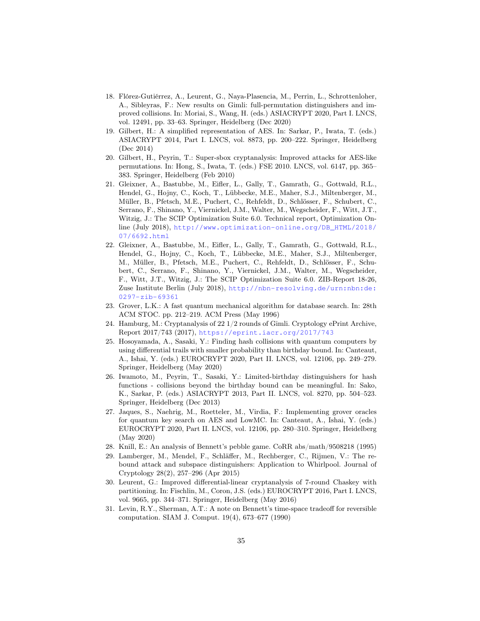- <span id="page-34-0"></span>18. Flórez-Gutiérrez, A., Leurent, G., Naya-Plasencia, M., Perrin, L., Schrottenloher, A., Sibleyras, F.: New results on Gimli: full-permutation distinguishers and improved collisions. In: Moriai, S., Wang, H. (eds.) ASIACRYPT 2020, Part I. LNCS, vol. 12491, pp. 33–63. Springer, Heidelberg (Dec 2020)
- <span id="page-34-4"></span>19. Gilbert, H.: A simplified representation of AES. In: Sarkar, P., Iwata, T. (eds.) ASIACRYPT 2014, Part I. LNCS, vol. 8873, pp. 200–222. Springer, Heidelberg (Dec 2014)
- <span id="page-34-5"></span>20. Gilbert, H., Peyrin, T.: Super-sbox cryptanalysis: Improved attacks for AES-like permutations. In: Hong, S., Iwata, T. (eds.) FSE 2010. LNCS, vol. 6147, pp. 365– 383. Springer, Heidelberg (Feb 2010)
- <span id="page-34-11"></span>21. Gleixner, A., Bastubbe, M., Eifler, L., Gally, T., Gamrath, G., Gottwald, R.L., Hendel, G., Hojny, C., Koch, T., Lübbecke, M.E., Maher, S.J., Miltenberger, M., Müller, B., Pfetsch, M.E., Puchert, C., Rehfeldt, D., Schlösser, F., Schubert, C., Serrano, F., Shinano, Y., Viernickel, J.M., Walter, M., Wegscheider, F., Witt, J.T., Witzig, J.: The SCIP Optimization Suite 6.0. Technical report, Optimization Online (July 2018), [http://www.optimization-online.org/DB\\_HTML/2018/](http://www.optimization-online.org/DB_HTML/2018/07/6692.html) [07/6692.html](http://www.optimization-online.org/DB_HTML/2018/07/6692.html)
- <span id="page-34-12"></span>22. Gleixner, A., Bastubbe, M., Eifler, L., Gally, T., Gamrath, G., Gottwald, R.L., Hendel, G., Hojny, C., Koch, T., Lübbecke, M.E., Maher, S.J., Miltenberger, M., Müller, B., Pfetsch, M.E., Puchert, C., Rehfeldt, D., Schlösser, F., Schubert, C., Serrano, F., Shinano, Y., Viernickel, J.M., Walter, M., Wegscheider, F., Witt, J.T., Witzig, J.: The SCIP Optimization Suite 6.0. ZIB-Report 18-26, Zuse Institute Berlin (July 2018), [http://nbn-resolving.de/urn:nbn:de:](http://nbn-resolving.de/urn:nbn:de:0297-zib-69361) [0297-zib-69361](http://nbn-resolving.de/urn:nbn:de:0297-zib-69361)
- <span id="page-34-7"></span>23. Grover, L.K.: A fast quantum mechanical algorithm for database search. In: 28th ACM STOC. pp. 212–219. ACM Press (May 1996)
- <span id="page-34-3"></span>24. Hamburg, M.: Cryptanalysis of 22 1/2 rounds of Gimli. Cryptology ePrint Archive, Report 2017/743 (2017), <https://eprint.iacr.org/2017/743>
- <span id="page-34-2"></span>25. Hosoyamada, A., Sasaki, Y.: Finding hash collisions with quantum computers by using differential trails with smaller probability than birthday bound. In: Canteaut, A., Ishai, Y. (eds.) EUROCRYPT 2020, Part II. LNCS, vol. 12106, pp. 249–279. Springer, Heidelberg (May 2020)
- <span id="page-34-6"></span>26. Iwamoto, M., Peyrin, T., Sasaki, Y.: Limited-birthday distinguishers for hash functions - collisions beyond the birthday bound can be meaningful. In: Sako, K., Sarkar, P. (eds.) ASIACRYPT 2013, Part II. LNCS, vol. 8270, pp. 504–523. Springer, Heidelberg (Dec 2013)
- <span id="page-34-10"></span>27. Jaques, S., Naehrig, M., Roetteler, M., Virdia, F.: Implementing grover oracles for quantum key search on AES and LowMC. In: Canteaut, A., Ishai, Y. (eds.) EUROCRYPT 2020, Part II. LNCS, vol. 12106, pp. 280–310. Springer, Heidelberg (May 2020)
- <span id="page-34-9"></span>28. Knill, E.: An analysis of Bennett's pebble game. CoRR abs/math/9508218 (1995)
- <span id="page-34-1"></span>29. Lamberger, M., Mendel, F., Schläffer, M., Rechberger, C., Rijmen, V.: The rebound attack and subspace distinguishers: Application to Whirlpool. Journal of Cryptology 28(2), 257–296 (Apr 2015)
- <span id="page-34-13"></span>30. Leurent, G.: Improved differential-linear cryptanalysis of 7-round Chaskey with partitioning. In: Fischlin, M., Coron, J.S. (eds.) EUROCRYPT 2016, Part I. LNCS, vol. 9665, pp. 344–371. Springer, Heidelberg (May 2016)
- <span id="page-34-8"></span>31. Levin, R.Y., Sherman, A.T.: A note on Bennett's time-space tradeoff for reversible computation. SIAM J. Comput. 19(4), 673–677 (1990)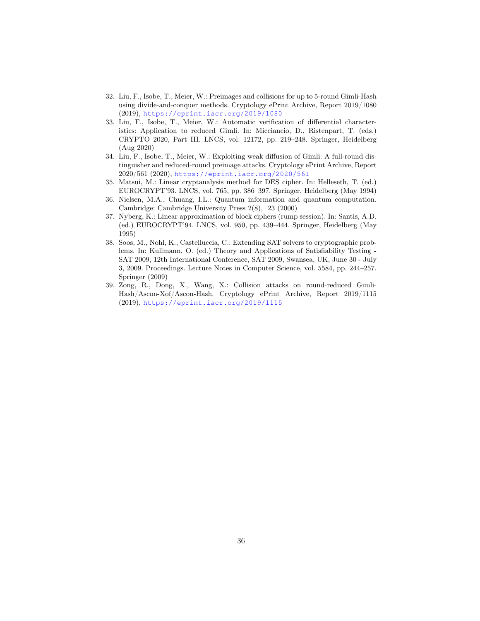- <span id="page-35-1"></span>32. Liu, F., Isobe, T., Meier, W.: Preimages and collisions for up to 5-round Gimli-Hash using divide-and-conquer methods. Cryptology ePrint Archive, Report 2019/1080 (2019), <https://eprint.iacr.org/2019/1080>
- <span id="page-35-2"></span>33. Liu, F., Isobe, T., Meier, W.: Automatic verification of differential characteristics: Application to reduced Gimli. In: Micciancio, D., Ristenpart, T. (eds.) CRYPTO 2020, Part III. LNCS, vol. 12172, pp. 219–248. Springer, Heidelberg (Aug 2020)
- <span id="page-35-0"></span>34. Liu, F., Isobe, T., Meier, W.: Exploiting weak diffusion of Gimli: A full-round distinguisher and reduced-round preimage attacks. Cryptology ePrint Archive, Report 2020/561 (2020), <https://eprint.iacr.org/2020/561>
- <span id="page-35-7"></span>35. Matsui, M.: Linear cryptanalysis method for DES cipher. In: Helleseth, T. (ed.) EUROCRYPT'93. LNCS, vol. 765, pp. 386–397. Springer, Heidelberg (May 1994)
- <span id="page-35-5"></span>36. Nielsen, M.A., Chuang, I.L.: Quantum information and quantum computation. Cambridge: Cambridge University Press 2(8), 23 (2000)
- <span id="page-35-6"></span>37. Nyberg, K.: Linear approximation of block ciphers (rump session). In: Santis, A.D. (ed.) EUROCRYPT'94. LNCS, vol. 950, pp. 439–444. Springer, Heidelberg (May 1995)
- <span id="page-35-4"></span>38. Soos, M., Nohl, K., Castelluccia, C.: Extending SAT solvers to cryptographic problems. In: Kullmann, O. (ed.) Theory and Applications of Satisfiability Testing - SAT 2009, 12th International Conference, SAT 2009, Swansea, UK, June 30 - July 3, 2009. Proceedings. Lecture Notes in Computer Science, vol. 5584, pp. 244–257. Springer (2009)
- <span id="page-35-3"></span>39. Zong, R., Dong, X., Wang, X.: Collision attacks on round-reduced Gimli-Hash/Ascon-Xof/Ascon-Hash. Cryptology ePrint Archive, Report 2019/1115 (2019), <https://eprint.iacr.org/2019/1115>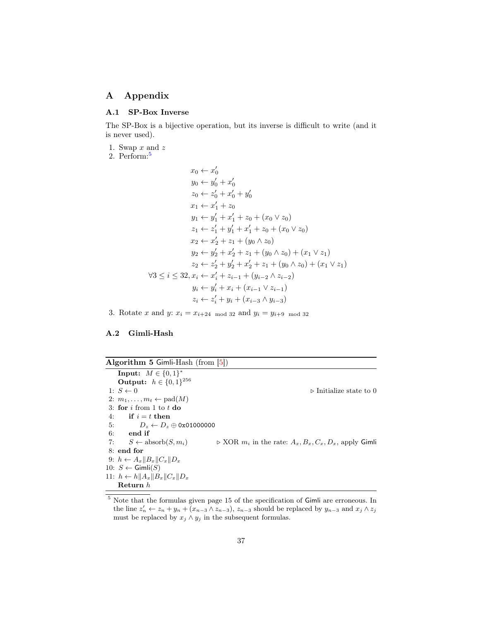## A Appendix

## A.1 SP-Box Inverse

The SP-Box is a bijective operation, but its inverse is difficult to write (and it is never used).

1. Swap $\boldsymbol{x}$  and  $\boldsymbol{z}$ 

2. Perform:[5](#page-36-1)

$$
x_0 \leftarrow x'_0
$$
  
\n
$$
y_0 \leftarrow y'_0 + x'_0
$$
  
\n
$$
z_0 \leftarrow z'_0 + x'_0 + y'_0
$$
  
\n
$$
x_1 \leftarrow x'_1 + z_0
$$
  
\n
$$
y_1 \leftarrow y'_1 + x'_1 + z_0 + (x_0 \vee z_0)
$$
  
\n
$$
z_1 \leftarrow z'_1 + y'_1 + x'_1 + z_0 + (x_0 \vee z_0)
$$
  
\n
$$
x_2 \leftarrow x'_2 + z_1 + (y_0 \wedge z_0)
$$
  
\n
$$
y_2 \leftarrow y'_2 + x'_2 + z_1 + (y_0 \wedge z_0) + (x_1 \vee z_1)
$$
  
\n
$$
z_2 \leftarrow z'_2 + y'_2 + x'_2 + z_1 + (y_0 \wedge z_0) + (x_1 \vee z_1)
$$
  
\n
$$
\forall 3 \leq i \leq 32, x_i \leftarrow x'_i + z_{i-1} + (y_{i-2} \wedge z_{i-2})
$$
  
\n
$$
y_i \leftarrow y'_i + x_i + (x_{i-1} \vee z_{i-1})
$$
  
\n
$$
z_i \leftarrow z'_i + y_i + (x_{i-3} \wedge y_{i-3})
$$

3. Rotate  $x$  and  $y: x_i = x_{i+24 \mod 32}$  and  $y_i = y_{i+9 \mod 32}$ 

#### A.2 Gimli-Hash

|    | Algorithm 5 Gimli-Hash (from $ 5 $ )           |                                                                            |
|----|------------------------------------------------|----------------------------------------------------------------------------|
|    | <b>Input:</b> $M \in \{0,1\}^*$                |                                                                            |
|    | <b>Output:</b> $h \in \{0, 1\}^{256}$          |                                                                            |
|    | 1: $S \leftarrow 0$                            | $\triangleright$ Initialize state to 0                                     |
|    | 2: $m_1, \ldots, m_t \leftarrow \text{pad}(M)$ |                                                                            |
|    | 3: for $i$ from 1 to $t$ do                    |                                                                            |
| 4: | if $i=t$ then                                  |                                                                            |
| 5: | $D_* \leftarrow D_* \oplus$ 0x01000000         |                                                                            |
| 6: | end if                                         |                                                                            |
|    | 7: $S \leftarrow \text{absorb}(S, m_i)$        | $\triangleright$ XOR $m_i$ in the rate: $A_x, B_x, C_x, D_x$ , apply Gimli |
|    | $8:$ end for                                   |                                                                            |
|    | 9: $h \leftarrow A_x   B_x   C_x   D_x$        |                                                                            |
|    | 10: $S \leftarrow$ Gimli $(S)$                 |                                                                            |
|    | 11: $h \leftarrow h  A_x  B_x  C_x  D_x$       |                                                                            |
|    | Return h                                       |                                                                            |

<span id="page-36-1"></span><span id="page-36-0"></span><sup>&</sup>lt;sup>5</sup> Note that the formulas given page 15 of the specification of Gimli are erroneous. In the line  $z'_n \leftarrow z_n + y_n + (x_{n-3} \wedge z_{n-3})$ ,  $z_{n-3}$  should be replaced by  $y_{n-3}$  and  $x_j \wedge z_j$ must be replaced by  $x_j \wedge y_j$  in the subsequent formulas.